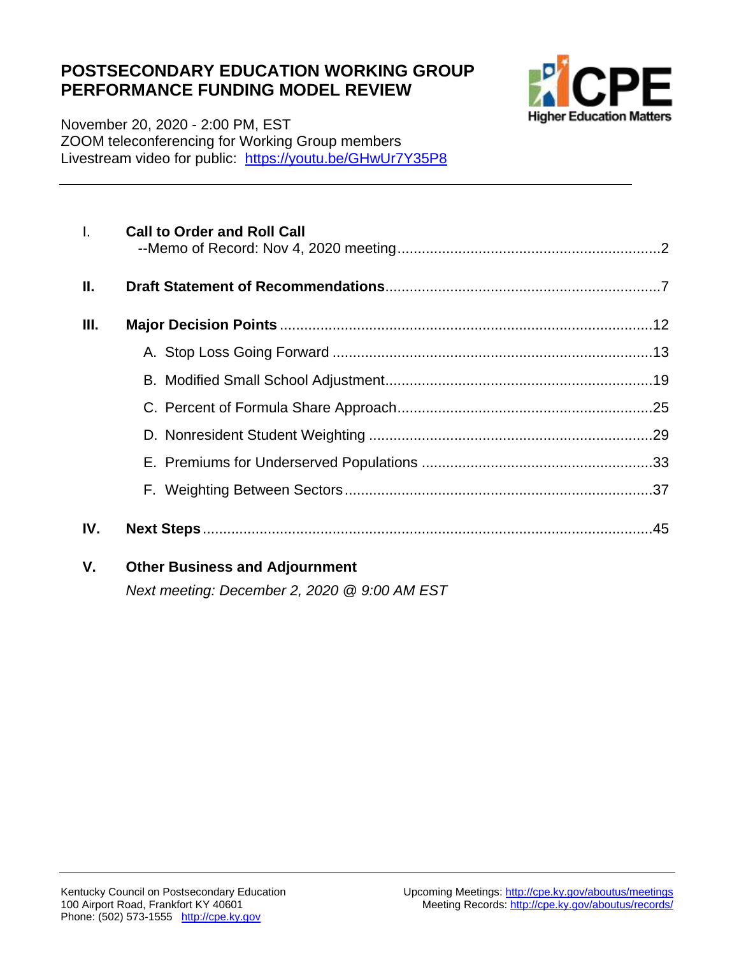#### **POSTSECONDARY EDUCATION WORKING GROUP PERFORMANCE FUNDING MODEL REVIEW**



November 20, 2020 - 2:00 PM, EST ZOOM teleconferencing for Working Group members Livestream video for public: <https://youtu.be/GHwUr7Y35P8>

| $\mathbf{L}$ | <b>Call to Order and Roll Call</b> |  |
|--------------|------------------------------------|--|
| Ш.           |                                    |  |
| III.         |                                    |  |
|              |                                    |  |
|              |                                    |  |
|              |                                    |  |
|              |                                    |  |
|              |                                    |  |
|              |                                    |  |
| IV.          |                                    |  |

#### **V. Other Business and Adjournment**

*Next meeting: December 2, 2020 @ 9:00 AM EST*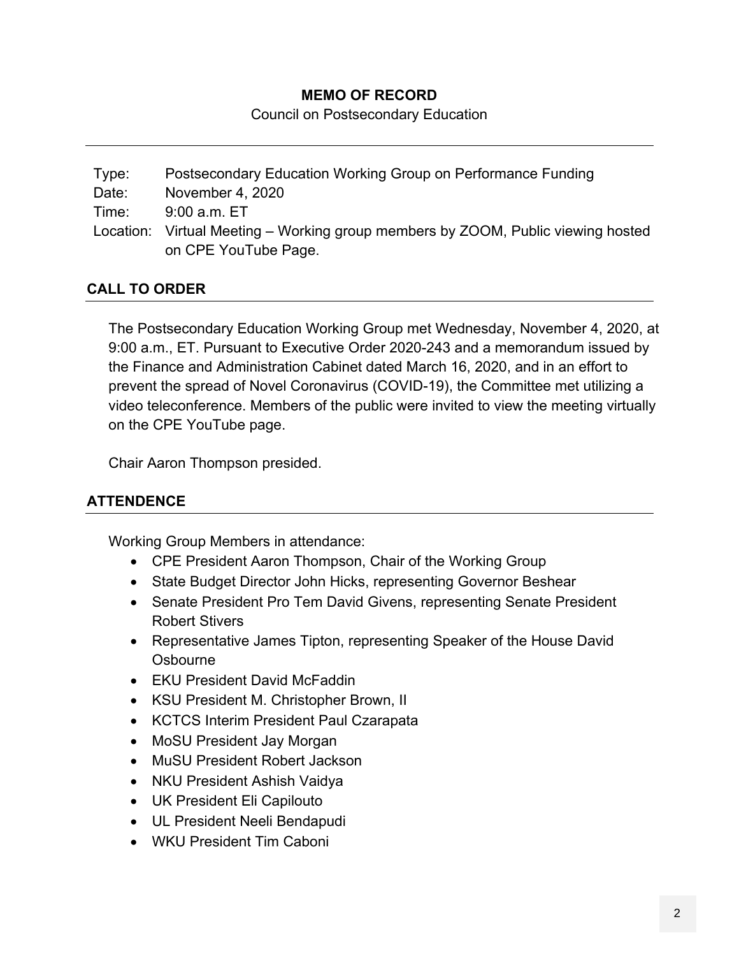#### **MEMO OF RECORD**

Council on Postsecondary Education

Type: Postsecondary Education Working Group on Performance Funding Date: November 4, 2020 Time: 9:00 a.m. ET Location: Virtual Meeting – Working group members by ZOOM, Public viewing hosted on CPE YouTube Page.

#### **CALL TO ORDER**

The Postsecondary Education Working Group met Wednesday, November 4, 2020, at 9:00 a.m., ET. Pursuant to Executive Order 2020-243 and a memorandum issued by the Finance and Administration Cabinet dated March 16, 2020, and in an effort to prevent the spread of Novel Coronavirus (COVID-19), the Committee met utilizing a video teleconference. Members of the public were invited to view the meeting virtually on the CPE YouTube page.

Chair Aaron Thompson presided.

#### **ATTENDENCE**

Working Group Members in attendance:

- CPE President Aaron Thompson, Chair of the Working Group
- State Budget Director John Hicks, representing Governor Beshear
- Senate President Pro Tem David Givens, representing Senate President Robert Stivers
- Representative James Tipton, representing Speaker of the House David **Osbourne**
- EKU President David McFaddin
- KSU President M. Christopher Brown, II
- KCTCS Interim President Paul Czarapata
- MoSU President Jay Morgan
- MuSU President Robert Jackson
- NKU President Ashish Vaidya
- UK President Eli Capilouto
- UL President Neeli Bendapudi
- WKU President Tim Caboni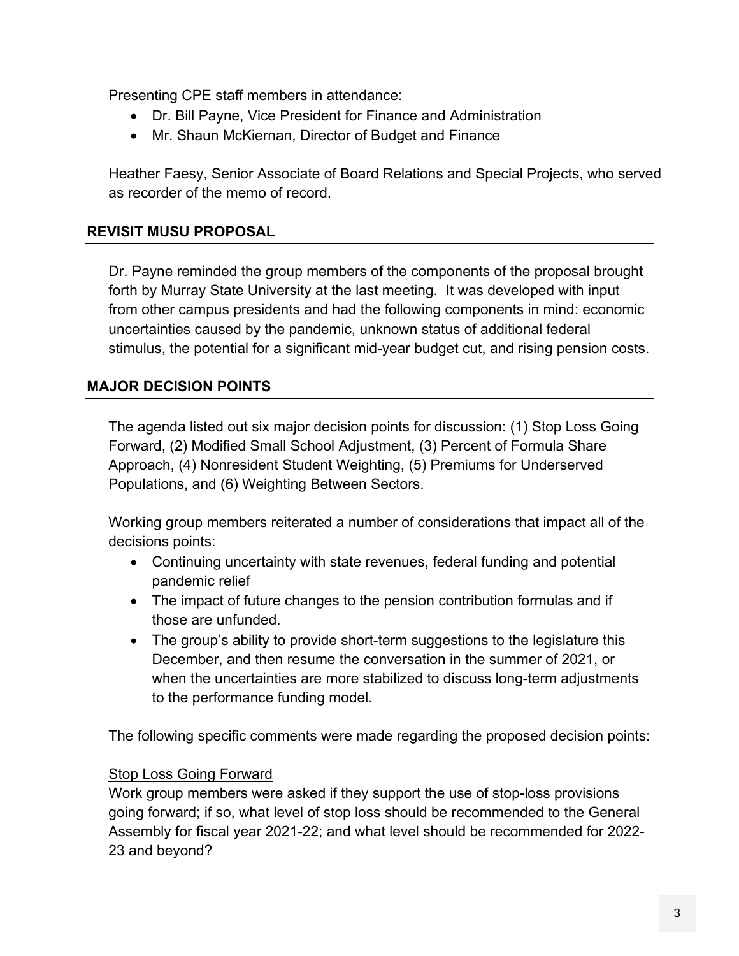Presenting CPE staff members in attendance:

- Dr. Bill Payne, Vice President for Finance and Administration
- Mr. Shaun McKiernan, Director of Budget and Finance

Heather Faesy, Senior Associate of Board Relations and Special Projects, who served as recorder of the memo of record.

#### **REVISIT MUSU PROPOSAL**

Dr. Payne reminded the group members of the components of the proposal brought forth by Murray State University at the last meeting. It was developed with input from other campus presidents and had the following components in mind: economic uncertainties caused by the pandemic, unknown status of additional federal stimulus, the potential for a significant mid-year budget cut, and rising pension costs.

#### **MAJOR DECISION POINTS**

The agenda listed out six major decision points for discussion: (1) Stop Loss Going Forward, (2) Modified Small School Adjustment, (3) Percent of Formula Share Approach, (4) Nonresident Student Weighting, (5) Premiums for Underserved Populations, and (6) Weighting Between Sectors.

Working group members reiterated a number of considerations that impact all of the decisions points:

- Continuing uncertainty with state revenues, federal funding and potential pandemic relief
- The impact of future changes to the pension contribution formulas and if those are unfunded.
- The group's ability to provide short-term suggestions to the legislature this December, and then resume the conversation in the summer of 2021, or when the uncertainties are more stabilized to discuss long-term adjustments to the performance funding model.

The following specific comments were made regarding the proposed decision points:

#### Stop Loss Going Forward

Work group members were asked if they support the use of stop-loss provisions going forward; if so, what level of stop loss should be recommended to the General Assembly for fiscal year 2021-22; and what level should be recommended for 2022- 23 and beyond?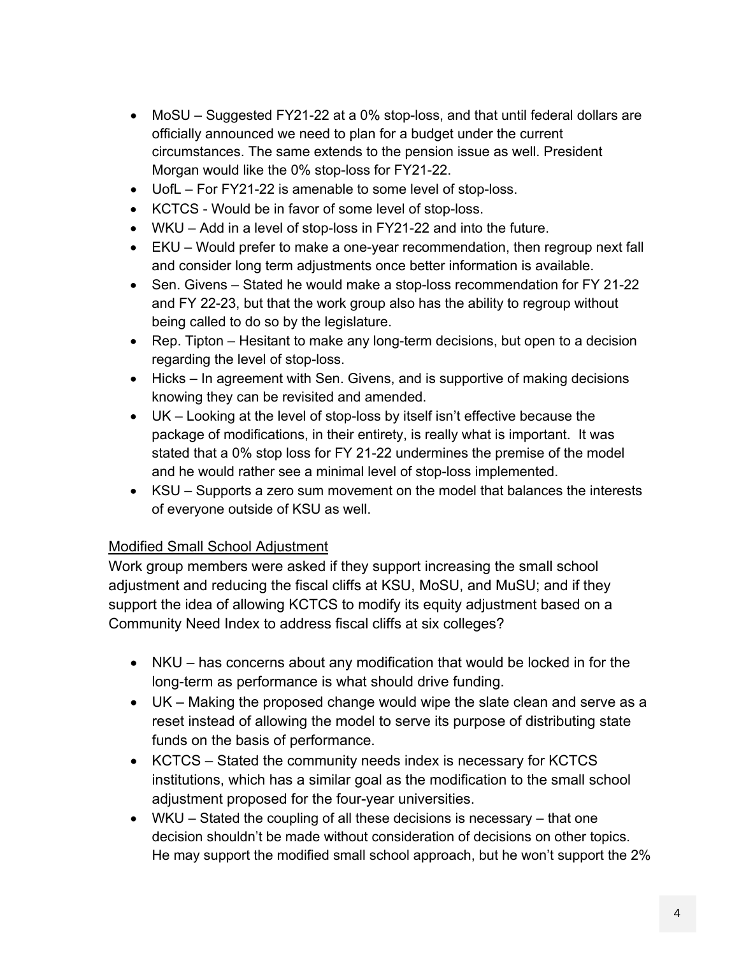- MoSU Suggested FY21-22 at a 0% stop-loss, and that until federal dollars are officially announced we need to plan for a budget under the current circumstances. The same extends to the pension issue as well. President Morgan would like the 0% stop-loss for FY21-22.
- UofL For FY21-22 is amenable to some level of stop-loss.
- KCTCS Would be in favor of some level of stop-loss.
- WKU Add in a level of stop-loss in FY21-22 and into the future.
- EKU Would prefer to make a one-year recommendation, then regroup next fall and consider long term adjustments once better information is available.
- Sen. Givens Stated he would make a stop-loss recommendation for FY 21-22 and FY 22-23, but that the work group also has the ability to regroup without being called to do so by the legislature.
- Rep. Tipton Hesitant to make any long-term decisions, but open to a decision regarding the level of stop-loss.
- Hicks In agreement with Sen. Givens, and is supportive of making decisions knowing they can be revisited and amended.
- UK Looking at the level of stop-loss by itself isn't effective because the package of modifications, in their entirety, is really what is important. It was stated that a 0% stop loss for FY 21-22 undermines the premise of the model and he would rather see a minimal level of stop-loss implemented.
- KSU Supports a zero sum movement on the model that balances the interests of everyone outside of KSU as well.

#### Modified Small School Adjustment

Work group members were asked if they support increasing the small school adjustment and reducing the fiscal cliffs at KSU, MoSU, and MuSU; and if they support the idea of allowing KCTCS to modify its equity adjustment based on a Community Need Index to address fiscal cliffs at six colleges?

- NKU has concerns about any modification that would be locked in for the long-term as performance is what should drive funding.
- UK Making the proposed change would wipe the slate clean and serve as a reset instead of allowing the model to serve its purpose of distributing state funds on the basis of performance.
- KCTCS Stated the community needs index is necessary for KCTCS institutions, which has a similar goal as the modification to the small school adjustment proposed for the four-year universities.
- WKU Stated the coupling of all these decisions is necessary that one decision shouldn't be made without consideration of decisions on other topics. He may support the modified small school approach, but he won't support the 2%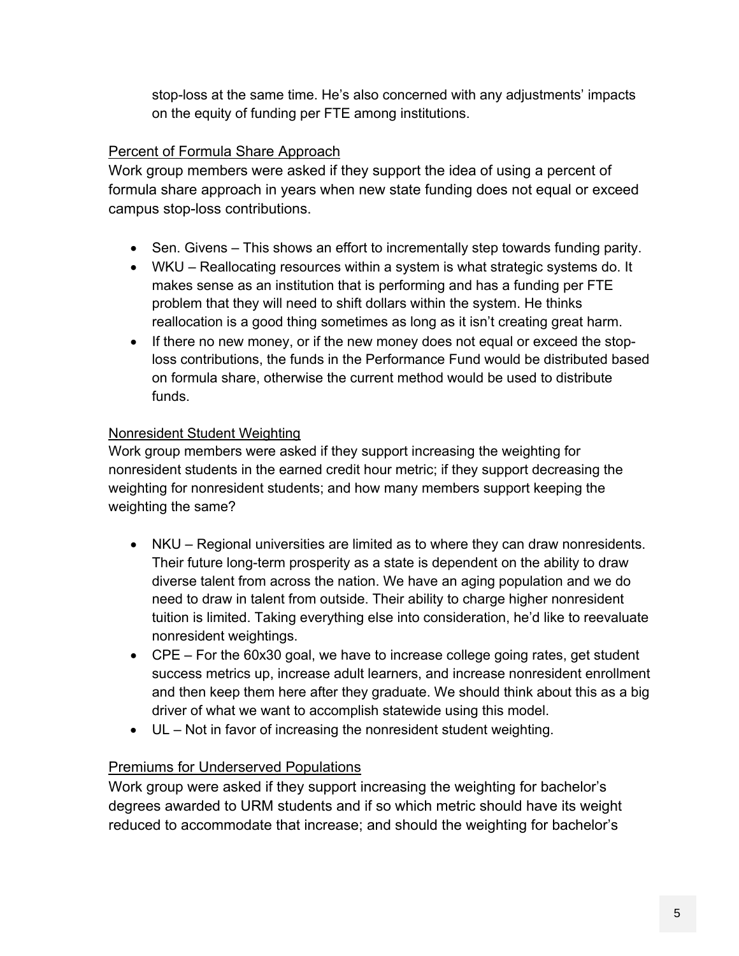stop-loss at the same time. He's also concerned with any adjustments' impacts on the equity of funding per FTE among institutions.

#### Percent of Formula Share Approach

Work group members were asked if they support the idea of using a percent of formula share approach in years when new state funding does not equal or exceed campus stop-loss contributions.

- Sen. Givens This shows an effort to incrementally step towards funding parity.
- WKU Reallocating resources within a system is what strategic systems do. It makes sense as an institution that is performing and has a funding per FTE problem that they will need to shift dollars within the system. He thinks reallocation is a good thing sometimes as long as it isn't creating great harm.
- If there no new money, or if the new money does not equal or exceed the stoploss contributions, the funds in the Performance Fund would be distributed based on formula share, otherwise the current method would be used to distribute funds.

#### Nonresident Student Weighting

Work group members were asked if they support increasing the weighting for nonresident students in the earned credit hour metric; if they support decreasing the weighting for nonresident students; and how many members support keeping the weighting the same?

- NKU Regional universities are limited as to where they can draw nonresidents. Their future long-term prosperity as a state is dependent on the ability to draw diverse talent from across the nation. We have an aging population and we do need to draw in talent from outside. Their ability to charge higher nonresident tuition is limited. Taking everything else into consideration, he'd like to reevaluate nonresident weightings.
- CPE For the 60x30 goal, we have to increase college going rates, get student success metrics up, increase adult learners, and increase nonresident enrollment and then keep them here after they graduate. We should think about this as a big driver of what we want to accomplish statewide using this model.
- UL Not in favor of increasing the nonresident student weighting.

#### Premiums for Underserved Populations

Work group were asked if they support increasing the weighting for bachelor's degrees awarded to URM students and if so which metric should have its weight reduced to accommodate that increase; and should the weighting for bachelor's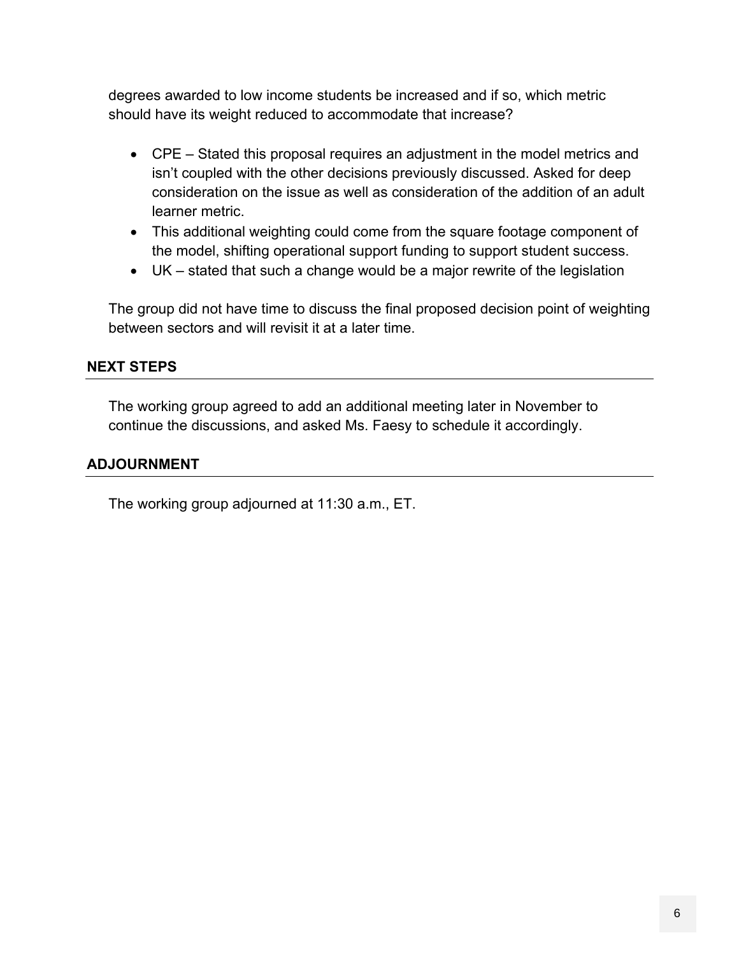degrees awarded to low income students be increased and if so, which metric should have its weight reduced to accommodate that increase?

- CPE Stated this proposal requires an adjustment in the model metrics and isn't coupled with the other decisions previously discussed. Asked for deep consideration on the issue as well as consideration of the addition of an adult learner metric.
- This additional weighting could come from the square footage component of the model, shifting operational support funding to support student success.
- UK stated that such a change would be a major rewrite of the legislation

The group did not have time to discuss the final proposed decision point of weighting between sectors and will revisit it at a later time.

#### **NEXT STEPS**

The working group agreed to add an additional meeting later in November to continue the discussions, and asked Ms. Faesy to schedule it accordingly.

#### **ADJOURNMENT**

The working group adjourned at 11:30 a.m., ET.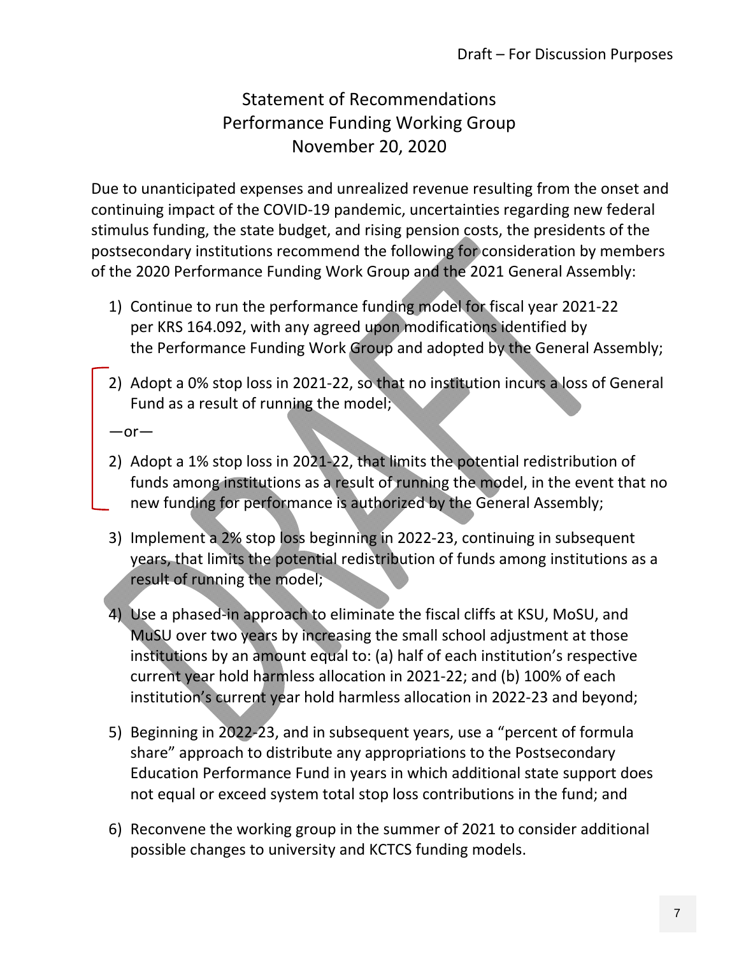#### Statement of Recommendations Performance Funding Working Group November 20, 2020

Due to unanticipated expenses and unrealized revenue resulting from the onset and continuing impact of the COVID‐19 pandemic, uncertainties regarding new federal stimulus funding, the state budget, and rising pension costs, the presidents of the postsecondary institutions recommend the following for consideration by members of the 2020 Performance Funding Work Group and the 2021 General Assembly:

- 1) Continue to run the performance funding model for fiscal year 2021‐22 per KRS 164.092, with any agreed upon modifications identified by the Performance Funding Work Group and adopted by the General Assembly;
- 2) Adopt a 0% stop loss in 2021‐22, so that no institution incurs a loss of General Fund as a result of running the model;

—or—

- 2) Adopt a 1% stop loss in 2021-22, that limits the potential redistribution of funds among institutions as a result of running the model, in the event that no new funding for performance is authorized by the General Assembly;
- 3) Implement a 2% stop loss beginning in 2022‐23, continuing in subsequent years, that limits the potential redistribution of funds among institutions as a result of running the model;
- 4) Use a phased-in approach to eliminate the fiscal cliffs at KSU, MoSU, and MuSU over two years by increasing the small school adjustment at those institutions by an amount equal to: (a) half of each institution's respective current year hold harmless allocation in 2021‐22; and (b) 100% of each institution's current year hold harmless allocation in 2022‐23 and beyond;
- 5) Beginning in 2022-23, and in subsequent years, use a "percent of formula share" approach to distribute any appropriations to the Postsecondary Education Performance Fund in years in which additional state support does not equal or exceed system total stop loss contributions in the fund; and
- 6) Reconvene the working group in the summer of 2021 to consider additional possible changes to university and KCTCS funding models.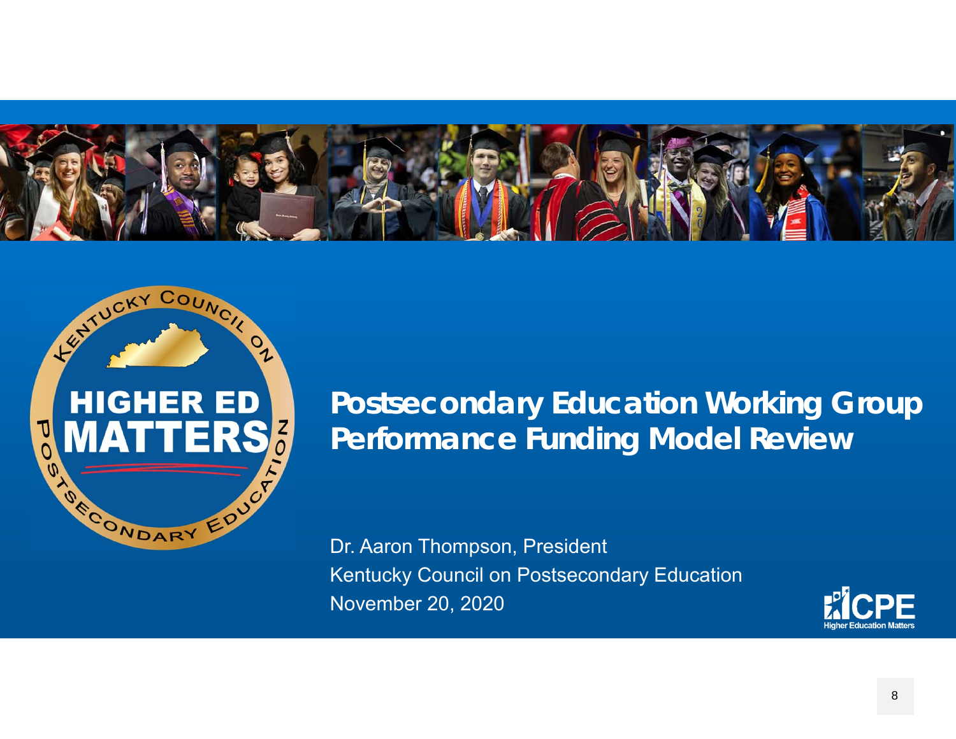



#### **Postsecondary Education Working Group Performance Funding Model Review**

Dr. Aaron Thompson, President Kentucky Council on Postsecondary Education November 20, 2020

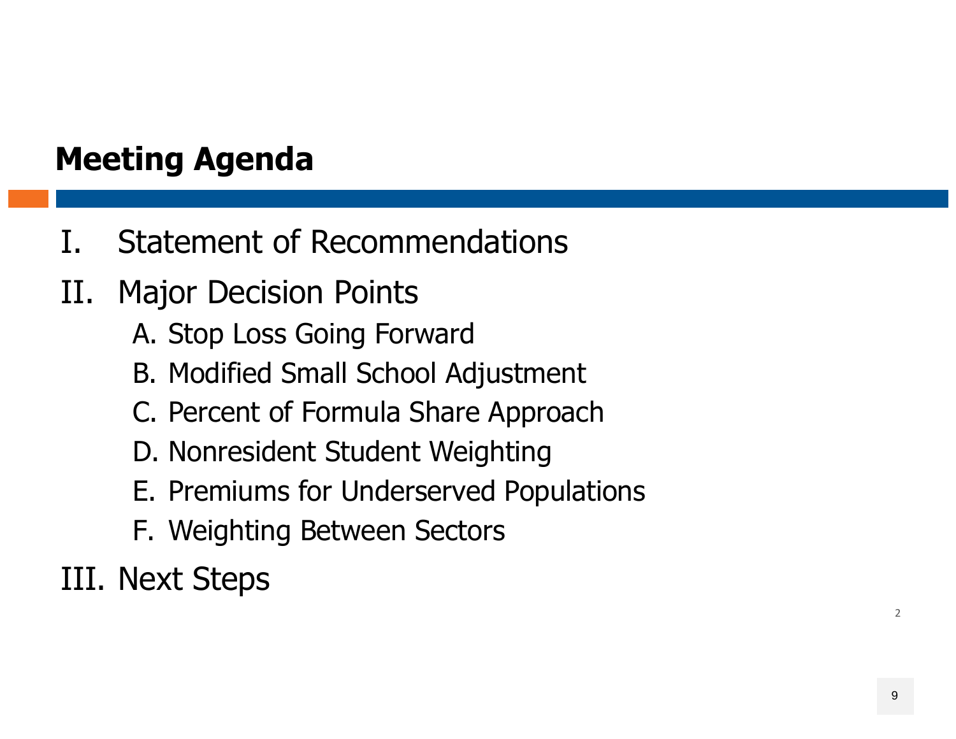### **Meeting Agenda**

- I. Statement of Recommendations
- II. Major Decision Points
	- A. Stop Loss Going Forward
	- B. Modified Small School Adjustment
	- C. Percent of Formula Share Approach
	- D. Nonresident Student Weighting
	- E. Premiums for Underserved Populations
	- F. Weighting Between Sectors

III. Next Steps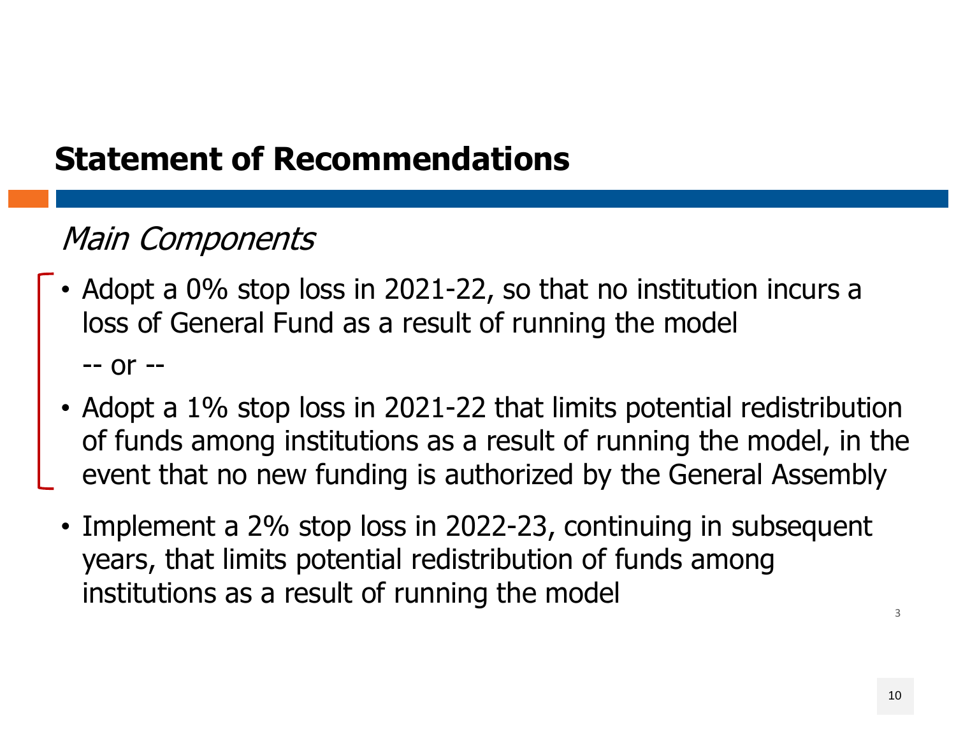### **Statement of Recommendations**

#### Main Components

- Adopt a 0% stop loss in 2021-22, so that no institution incurs a loss of General Fund as a result of running the model -- or --
- Adopt a 1% stop loss in 2021-22 that limits potential redistribution of funds among institutions as a result of running the model, in the event that no new funding is authorized by the General Assembly
- Implement a 2% stop loss in 2022-23, continuing in subsequent years, that limits potential redistribution of funds among institutions as a result of running the model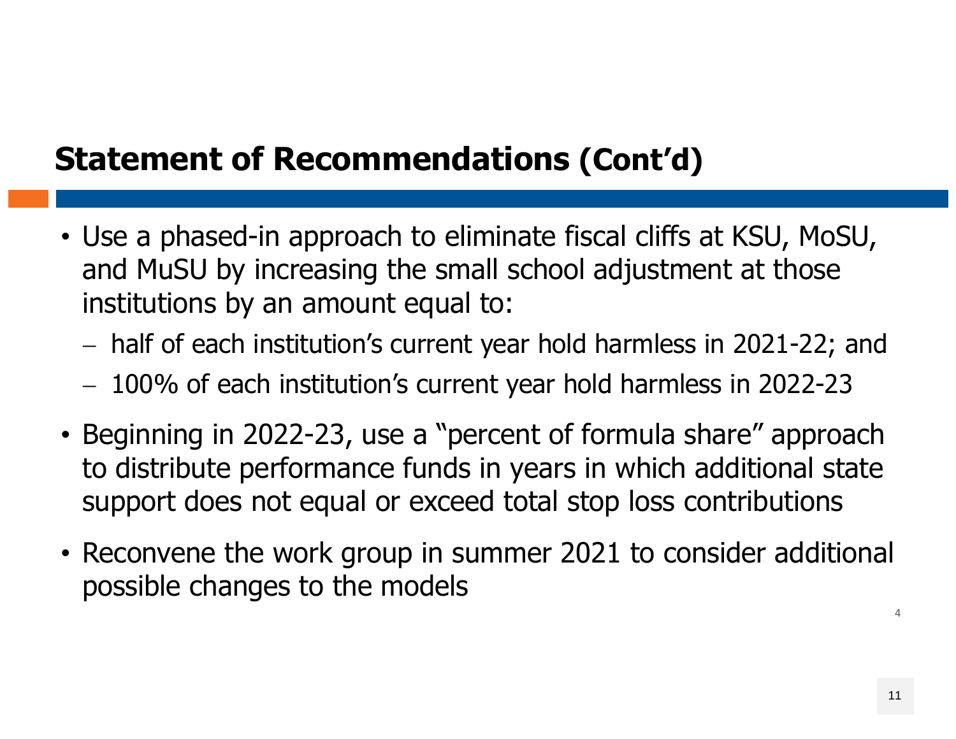### **Statement of Recommendations (Cont'd)**

- Use a phased-in approach to eliminate fiscal cliffs at KSU, MoSU, and MuSU by increasing the small school adjustment at those institutions by an amount equal to:
	- half of each institution's current year hold harmless in 2021-22; and
	- 100% of each institution's current year hold harmless in 2022-23
- Beginning in 2022-23, use a "percent of formula share" approach to distribute performance funds in years in which additional state support does not equal or exceed total stop loss contributions
- Reconvene the work group in summer 2021 to consider additional possible changes to the models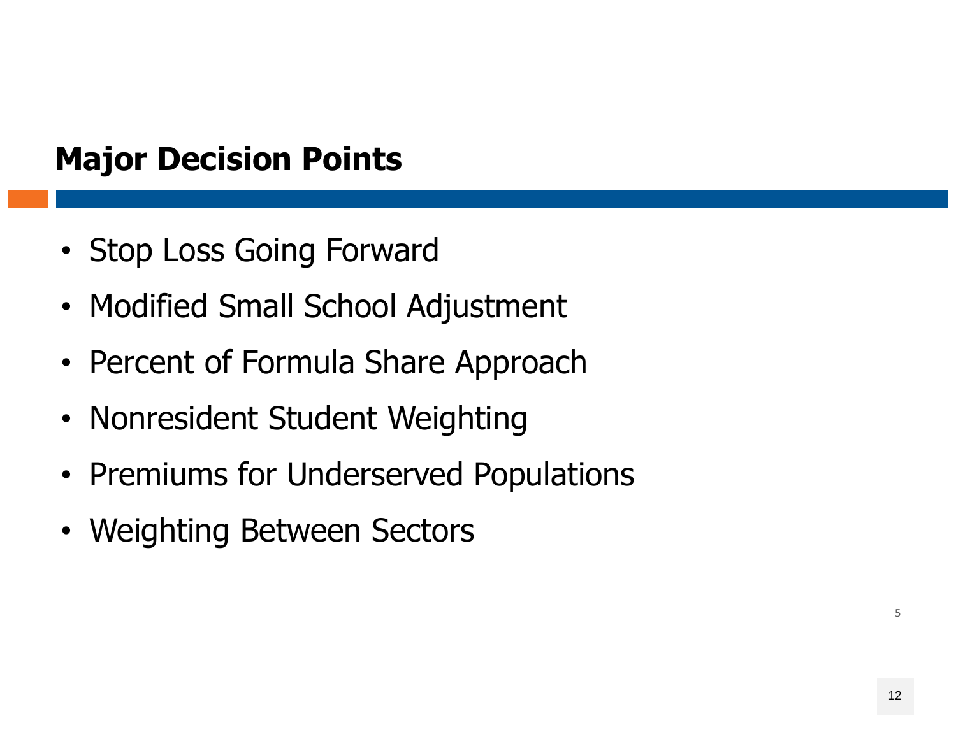- Stop Loss Going Forward
- Modified Small School Adjustment
- Percent of Formula Share Approach
- Nonresident Student Weighting
- Premiums for Underserved Populations
- Weighting Between Sectors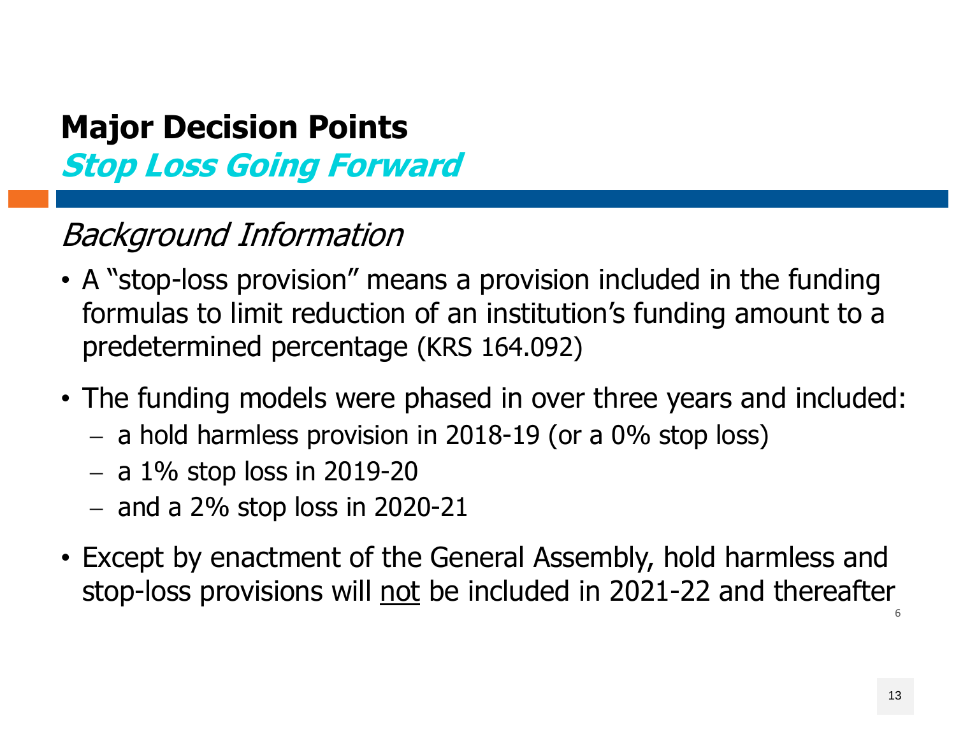## **Major Decision Points Stop Loss Going Forward**

#### Background Information

- A "stop-loss provision" means a provision included in the funding formulas to limit reduction of an institution's funding amount to a predetermined percentage (KRS 164.092)
- The funding models were phased in over three years and included:
	- $-$  a hold harmless provision in 2018-19 (or a 0% stop loss)
	- $-$  a 1% stop loss in 2019-20
	- $-$  and a 2% stop loss in 2020-21  $\,$
- Except by enactment of the General Assembly, hold harmless and stop-loss provisions will not be included in 2021-22 and thereafter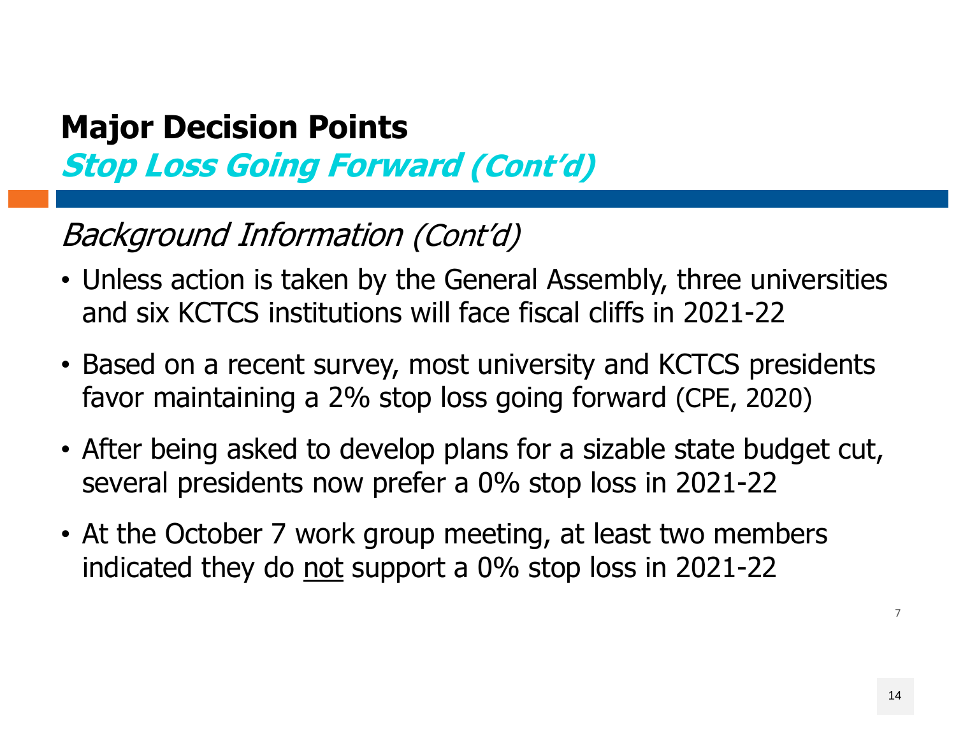## **Major Decision Points Stop Loss Going Forward (Cont'd)**

### Background Information (Cont'd)

- Unless action is taken by the General Assembly, three universities and six KCTCS institutions will face fiscal cliffs in 2021-22
- Based on a recent survey, most university and KCTCS presidents favor maintaining a 2% stop loss going forward (CPE, 2020)
- After being asked to develop plans for a sizable state budget cut, several presidents now prefer a 0% stop loss in 2021-22
- At the October 7 work group meeting, at least two members indicated they do not support a 0% stop loss in 2021-22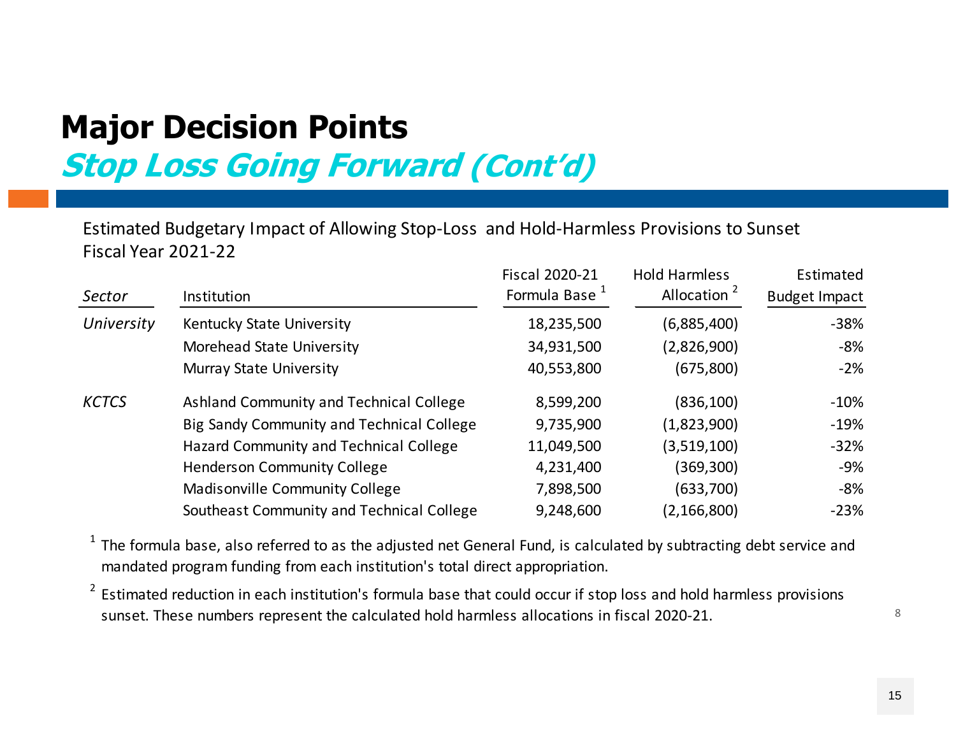#### **Major Decision Points Stop Loss Going Forward (Cont'd)**

Estimated Budgetary Impact of Allowing Stop‐Loss and Hold‐Harmless Provisions to Sunset Fiscal Year 2021‐22

| Sector       | Institution                               | <b>Fiscal 2020-21</b><br>Formula Base <sup>1</sup> | <b>Hold Harmless</b><br>Allocation <sup>2</sup> | Estimated<br><b>Budget Impact</b> |
|--------------|-------------------------------------------|----------------------------------------------------|-------------------------------------------------|-----------------------------------|
| University   | Kentucky State University                 | 18,235,500                                         | (6,885,400)                                     | $-38%$                            |
|              | Morehead State University                 | 34,931,500                                         | (2,826,900)                                     | -8%                               |
|              | Murray State University                   | 40,553,800                                         | (675, 800)                                      | $-2%$                             |
| <b>KCTCS</b> | Ashland Community and Technical College   | 8,599,200                                          | (836, 100)                                      | $-10%$                            |
|              | Big Sandy Community and Technical College | 9,735,900                                          | (1,823,900)                                     | $-19%$                            |
|              | Hazard Community and Technical College    | 11,049,500                                         | (3,519,100)                                     | $-32%$                            |
|              | <b>Henderson Community College</b>        | 4,231,400                                          | (369, 300)                                      | -9%                               |
|              | Madisonville Community College            | 7,898,500                                          | (633,700)                                       | -8%                               |
|              | Southeast Community and Technical College | 9,248,600                                          | (2, 166, 800)                                   | $-23%$                            |

 $^1$  The formula base, also referred to as the adjusted net General Fund, is calculated by subtracting debt service and mandated program funding from each institution's total direct appropriation.

 $2$  Estimated reduction in each institution's formula base that could occur if stop loss and hold harmless provisions sunset. These numbers represent the calculated hold harmless allocations in fiscal 2020‐21.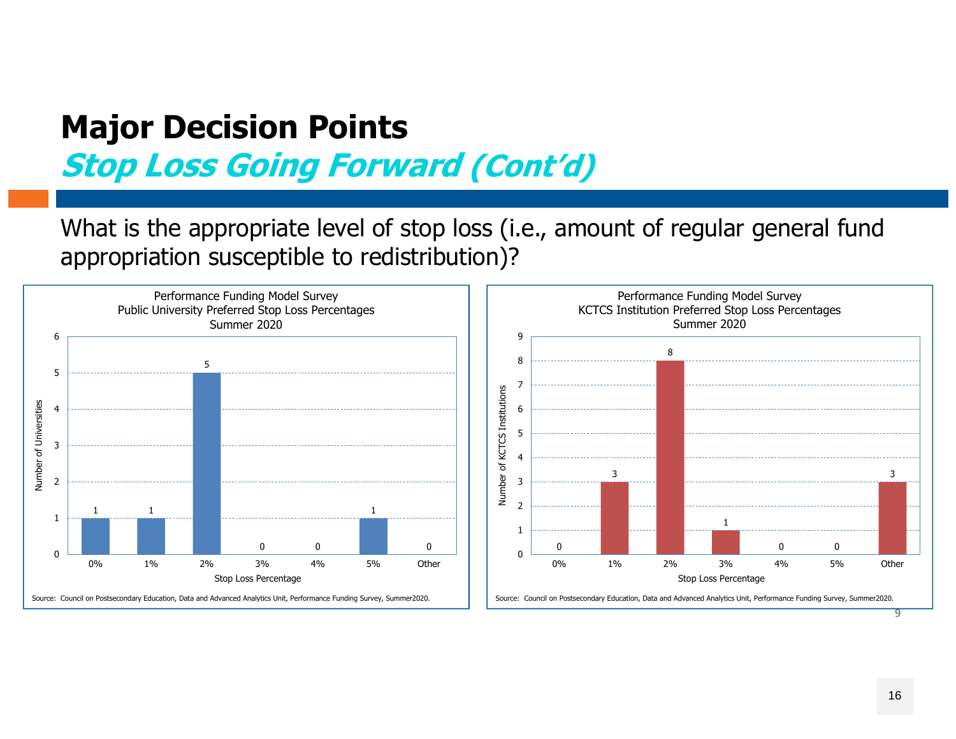**Stop Loss Going Forward (Cont'd)**

What is the appropriate level of stop loss (i.e., amount of regular general fund appropriation susceptible to redistribution)?



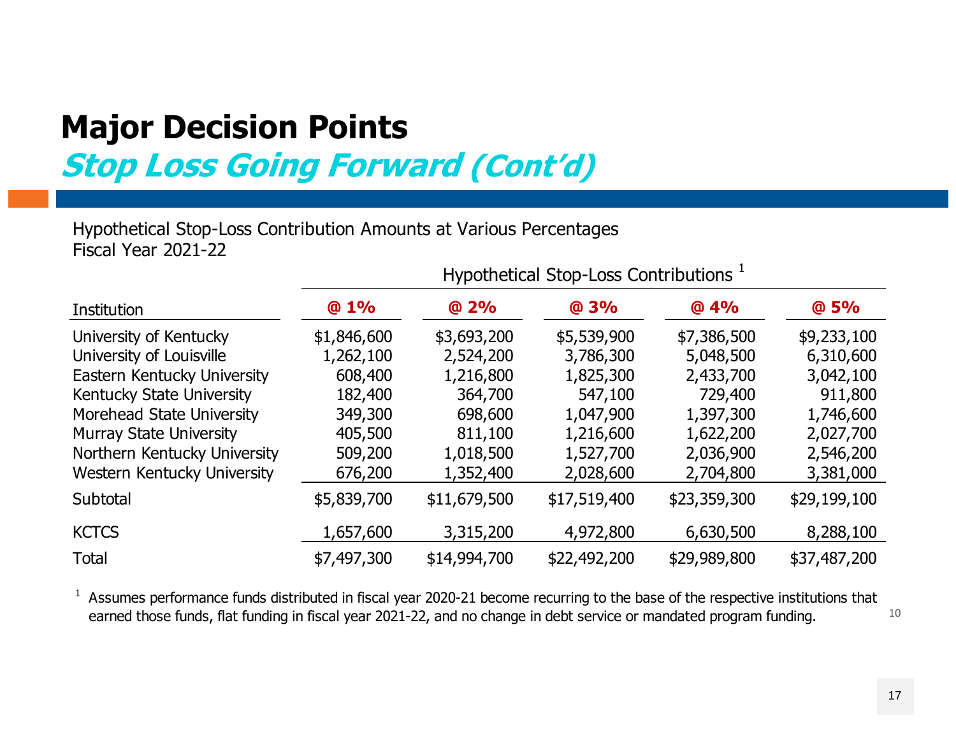#### **Major Decision Points Stop Loss Going Forward (Cont'd)**

Hypothetical Sto p-Loss Contribution Amounts at Various Percenta ges Fiscal Year 2021-22

|                                | Hypothetical Stop-Loss Contributions <sup>1</sup> |              |              |              |              |  |  |  |  |
|--------------------------------|---------------------------------------------------|--------------|--------------|--------------|--------------|--|--|--|--|
| Institution                    | @1%                                               | @ 2%         | @ 3%         | @4%          | @5%          |  |  |  |  |
| University of Kentucky         | \$1,846,600                                       | \$3,693,200  | \$5,539,900  | \$7,386,500  | \$9,233,100  |  |  |  |  |
| University of Louisville       | 1,262,100                                         | 2,524,200    | 3,786,300    | 5,048,500    | 6,310,600    |  |  |  |  |
| Eastern Kentucky University    | 608,400                                           | 1,216,800    | 1,825,300    | 2,433,700    | 3,042,100    |  |  |  |  |
| Kentucky State University      | 182,400                                           | 364,700      | 547,100      | 729,400      | 911,800      |  |  |  |  |
| Morehead State University      | 349,300                                           | 698,600      | 1,047,900    | 1,397,300    | 1,746,600    |  |  |  |  |
| <b>Murray State University</b> | 405,500                                           | 811,100      | 1,216,600    | 1,622,200    | 2,027,700    |  |  |  |  |
| Northern Kentucky University   | 509,200                                           | 1,018,500    | 1,527,700    | 2,036,900    | 2,546,200    |  |  |  |  |
| Western Kentucky University    | 676,200                                           | 1,352,400    | 2,028,600    | 2,704,800    | 3,381,000    |  |  |  |  |
| Subtotal                       | \$5,839,700                                       | \$11,679,500 | \$17,519,400 | \$23,359,300 | \$29,199,100 |  |  |  |  |
| <b>KCTCS</b>                   | 1,657,600                                         | 3,315,200    | 4,972,800    | 6,630,500    | 8,288,100    |  |  |  |  |
| <b>Total</b>                   | \$7,497,300                                       | \$14,994,700 | \$22,492,200 | \$29,989,800 | \$37,487,200 |  |  |  |  |

 $1$  Assumes performance funds distributed in fiscal year 2020-21 become recurring to the base of the respective institutions that earned those funds, flat funding in fiscal year 2021-22, and no change in debt service or mandated program funding.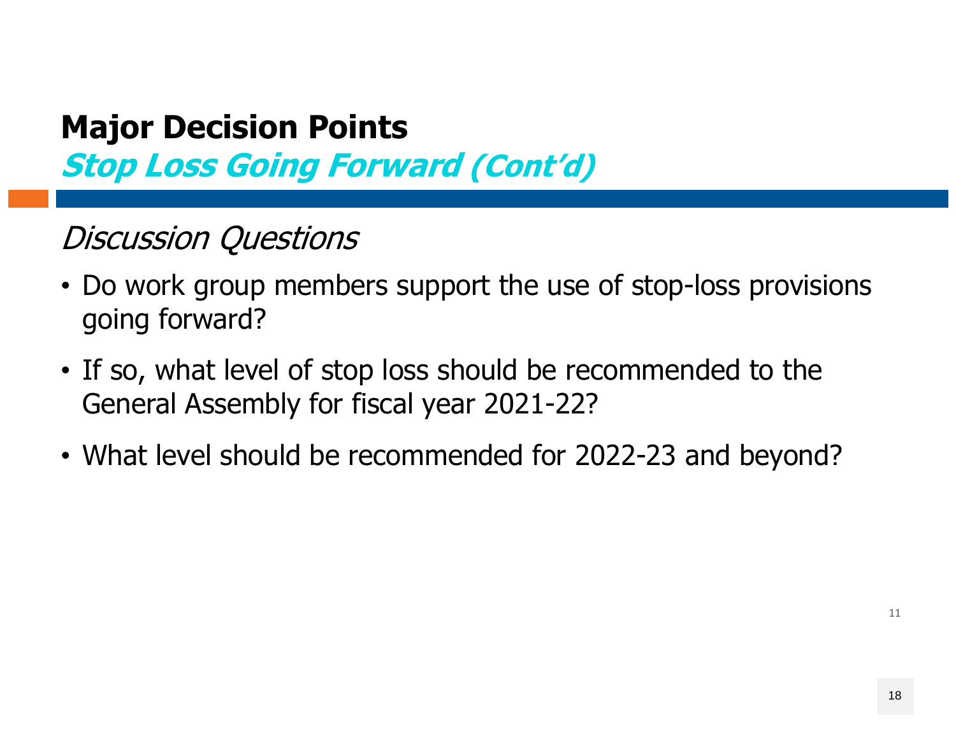#### **Major Decision Points Stop Loss Going Forward (Cont'd)**

### Discussion Questions

- Do work group members support the use of stop-loss provisions going forward?
- If so, what level of stop loss should be recommended to the General Assembly for fiscal year 2021-22?
- What level should be recommended for 2022-23 and beyond?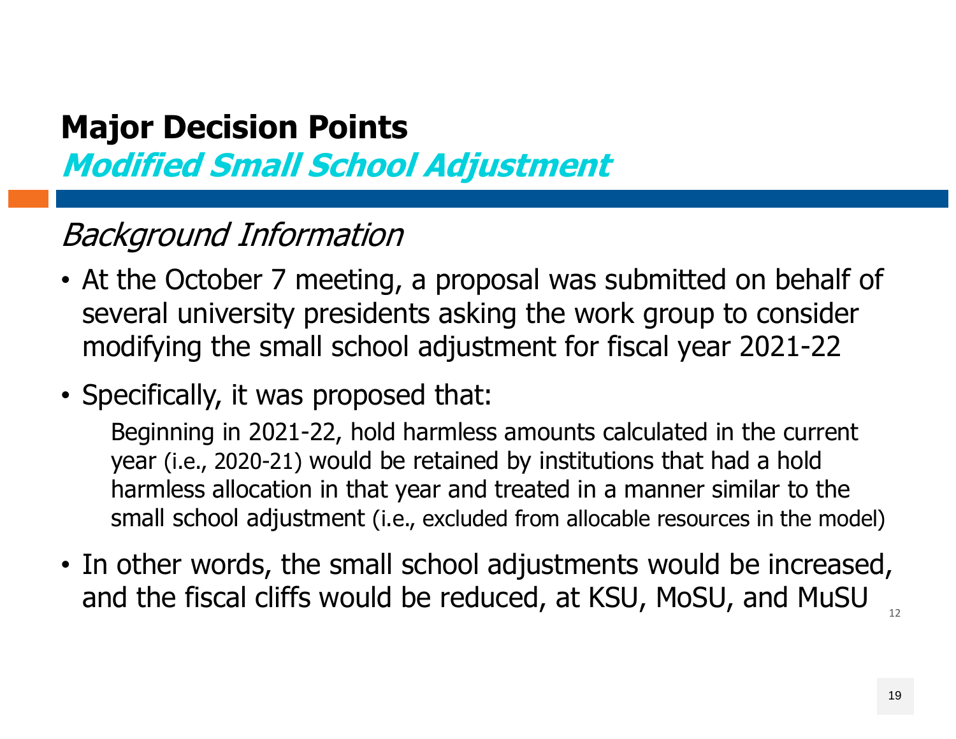**Modified Small School Adjustment**

### Background Information

- At the October 7 meeting, a proposal was submitted on behalf of several university presidents asking the work group to consider modifying the small school adjustment for fiscal year 2021-22
- Specifically, it was proposed that:

Beginning in 2021-22, hold harmless amounts calculated in the current year (i.e., 2020-21) would be retained by institutions that had a hold harmless allocation in that year and treated in a manner similar to the small school adjustment (i.e., excluded from allocable resources in the model)

12• In other words, the small school adjustments would be increased, and the fiscal cliffs would be reduced, at KSU, MoSU, and MuSU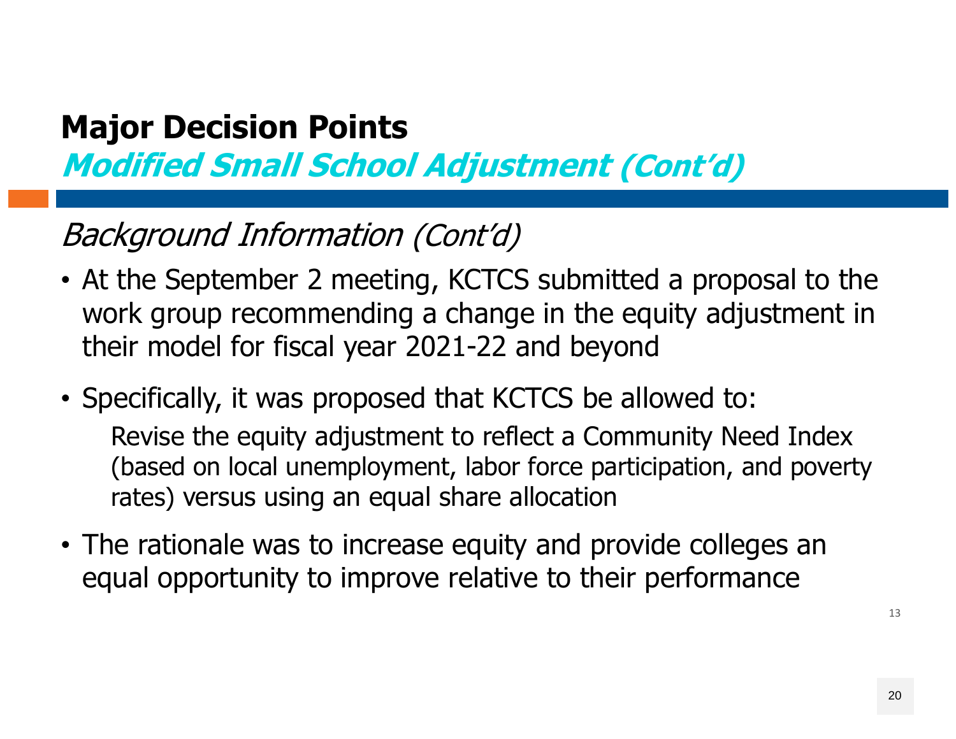**Modified Small School Adjustment (Cont'd)**

#### Background Information (Cont'd)

- At the September 2 meeting, KCTCS submitted a proposal to the work group recommending a change in the equity adjustment in their model for fiscal year 2021-22 and beyond
- Specifically, it was proposed that KCTCS be allowed to: Revise the equity adjustment to reflect a Community Need Index (based on local unemployment, labor force participation, and poverty rates) versus using an equal share allocation
- The rationale was to increase equity and provide colleges an equal opportunity to improve relative to their performance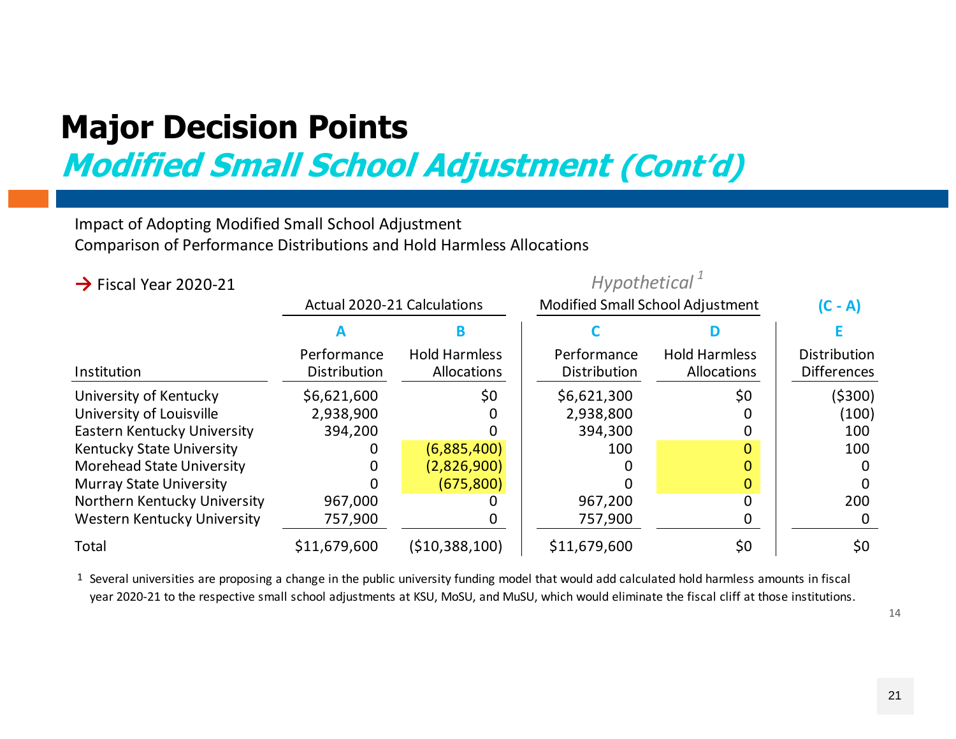**Modified Small School Adjustment (Cont'd)**

#### Impact of Adopting Modified Small School Adjustment Comparison of Performance Distributions and Hold Harmless Allocations

#### **→** Fiscal Year 2020-21

#### *Hypothetical <sup>1</sup>*

|                                  | <b>Actual 2020-21 Calculations</b> |                                     | Modified Small School Adjustment | $(C - A)$                           |                                           |
|----------------------------------|------------------------------------|-------------------------------------|----------------------------------|-------------------------------------|-------------------------------------------|
|                                  |                                    |                                     |                                  |                                     |                                           |
| Institution                      | Performance<br>Distribution        | <b>Hold Harmless</b><br>Allocations | Performance<br>Distribution      | <b>Hold Harmless</b><br>Allocations | <b>Distribution</b><br><b>Differences</b> |
| University of Kentucky           | \$6,621,600                        | \$0                                 | \$6,621,300                      | \$0                                 | (\$300)                                   |
| University of Louisville         | 2,938,900                          |                                     | 2,938,800                        |                                     | (100)                                     |
| Eastern Kentucky University      | 394,200                            |                                     | 394,300                          |                                     | 100                                       |
| <b>Kentucky State University</b> |                                    | (6,885,400)                         | 100                              |                                     | 100                                       |
| <b>Morehead State University</b> |                                    | (2,826,900)                         |                                  | O                                   |                                           |
| <b>Murray State University</b>   |                                    | (675, 800)                          |                                  |                                     |                                           |
| Northern Kentucky University     | 967,000                            |                                     | 967,200                          | 0                                   | 200                                       |
| Western Kentucky University      | 757,900                            |                                     | 757,900                          |                                     |                                           |
| Total                            | \$11,679,600                       | ( \$10,388,100)                     | \$11,679,600                     | \$0                                 | \$0                                       |

1 Several universities are proposing a change in the public university funding model that would add calculated hold harmless amounts in fiscal year 2020-21 to the respective small school adjustments at KSU, MoSU, and MuSU, which would eliminate the fiscal cliff at those institutions.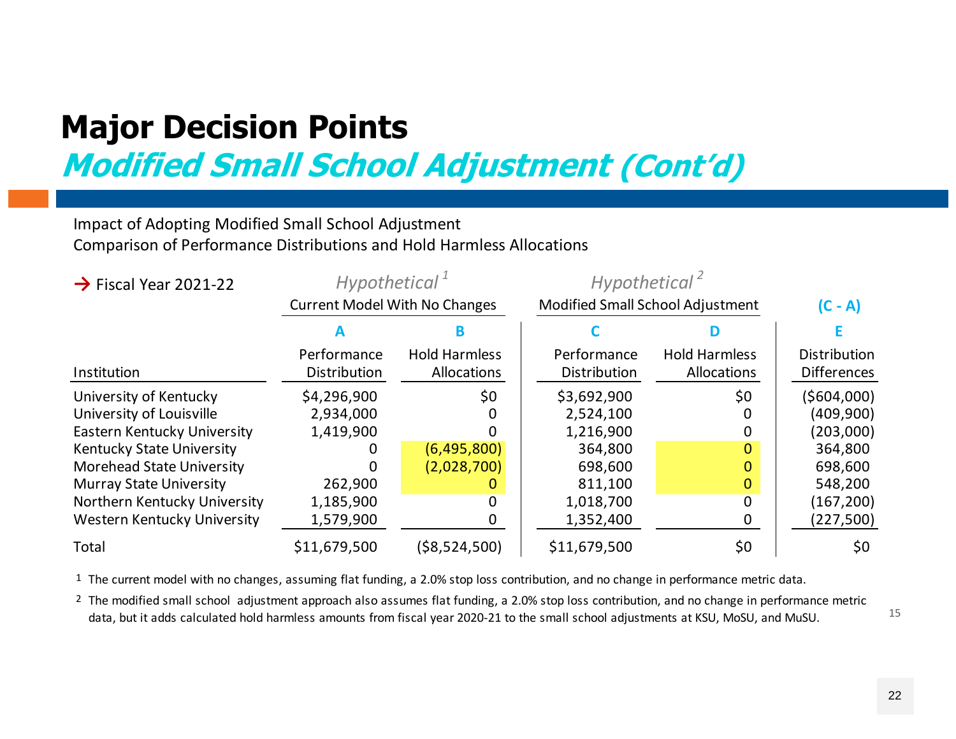**Modified Small School Adjustment (Cont'd)**

#### Impact of Adopting Modified Small School Adjustment Comparison of Performance Distributions and Hold Harmless Allocations

| $\rightarrow$ Fiscal Year 2021-22 | Hypothetical <sup>T</sup>            |                                            | Hypothetical <sup>2</sup>        |                                            |                                    |
|-----------------------------------|--------------------------------------|--------------------------------------------|----------------------------------|--------------------------------------------|------------------------------------|
|                                   | <b>Current Model With No Changes</b> |                                            | Modified Small School Adjustment |                                            | $(C - A)$                          |
|                                   |                                      |                                            |                                  |                                            |                                    |
| Institution                       | Performance<br>Distribution          | <b>Hold Harmless</b><br><b>Allocations</b> | Performance<br>Distribution      | <b>Hold Harmless</b><br><b>Allocations</b> | Distribution<br><b>Differences</b> |
| University of Kentucky            | \$4,296,900                          | \$0\$                                      | \$3,692,900                      | \$0                                        | (5604,000)                         |
| University of Louisville          | 2,934,000                            |                                            | 2,524,100                        |                                            | (409, 900)                         |
| Eastern Kentucky University       | 1,419,900                            |                                            | 1,216,900                        | 0                                          | (203,000)                          |
| <b>Kentucky State University</b>  |                                      | (6,495,800)                                | 364,800                          | 0                                          | 364,800                            |
| <b>Morehead State University</b>  |                                      | (2,028,700)                                | 698,600                          |                                            | 698,600                            |
| <b>Murray State University</b>    | 262,900                              |                                            | 811,100                          |                                            | 548,200                            |
| Northern Kentucky University      | 1,185,900                            |                                            | 1,018,700                        | 0                                          | (167, 200)                         |
| Western Kentucky University       | 1,579,900                            |                                            | 1,352,400                        |                                            | (227,500)                          |
| Total                             | \$11,679,500                         | ( \$8,524,500)                             | \$11,679,500                     | \$0                                        | \$0                                |

1 The current model with no changes, assuming flat funding, a 2.0% stop loss contribution, and no change in performance metric data.

2 The modified small school adjustment approach also assumes flat funding, a 2.0% stop loss contribution, and no change in performance metric data, but it adds calculated hold harmless amounts from fiscal year 2020‐21 to the small school adjustments at KSU, MoSU, and MuSU.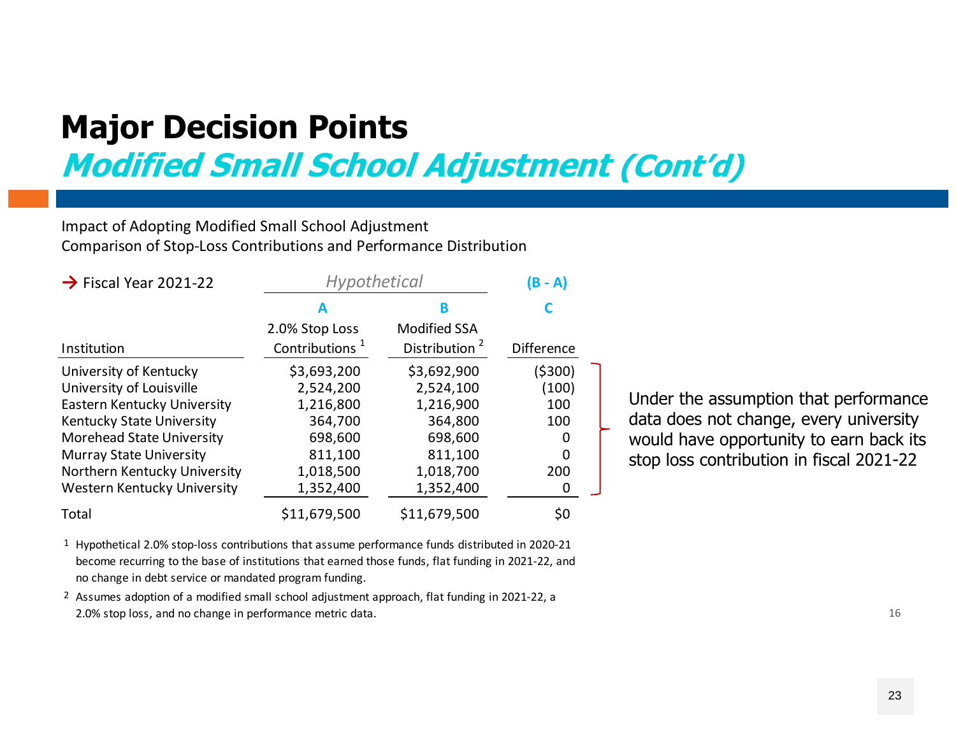**Modified Small School Adjustment (Cont'd)**

#### Impact of Adopting Modified Small School Adjustment Comparison of Stop‐Loss Contributions and Performance Distribution

| $\rightarrow$ Fiscal Year 2021-22 |                            | <b>Hypothetical</b>       |                   |  |  |
|-----------------------------------|----------------------------|---------------------------|-------------------|--|--|
|                                   |                            | B                         |                   |  |  |
|                                   | 2.0% Stop Loss             | <b>Modified SSA</b>       |                   |  |  |
| Institution                       | Contributions <sup>1</sup> | Distribution <sup>2</sup> | <b>Difference</b> |  |  |
| University of Kentucky            | \$3,693,200                | \$3,692,900               | (5300)            |  |  |
| University of Louisville          | 2,524,200                  | 2,524,100                 | (100)             |  |  |
| Eastern Kentucky University       | 1,216,800                  | 1,216,900                 | 100               |  |  |
| <b>Kentucky State University</b>  | 364,700                    | 364,800                   | 100               |  |  |
| <b>Morehead State University</b>  | 698,600                    | 698,600                   | O                 |  |  |
| <b>Murray State University</b>    | 811,100                    | 811,100                   | 0                 |  |  |
| Northern Kentucky University      | 1,018,500                  | 1,018,700                 | 200               |  |  |
| Western Kentucky University       | 1,352,400                  | 1,352,400                 |                   |  |  |
| Total                             | \$11,679,500               | \$11,679,500              | \$0               |  |  |

Under the assumption that performance data does not change, every university would have opportunity to earn back its stop loss contribution in fiscal 2021-22

1 Hypothetical 2.0% stop‐loss contributions that assume performance funds distributed in 2020‐21 become recurring to the base of institutions that earned those funds, flat funding in 2021‐22, and no change in debt service or mandated program funding.

2 Assumes adoption of a modified small school adjustment approach, flat funding in 2021‐22, a 2.0% stop loss, and no change in performance metric data.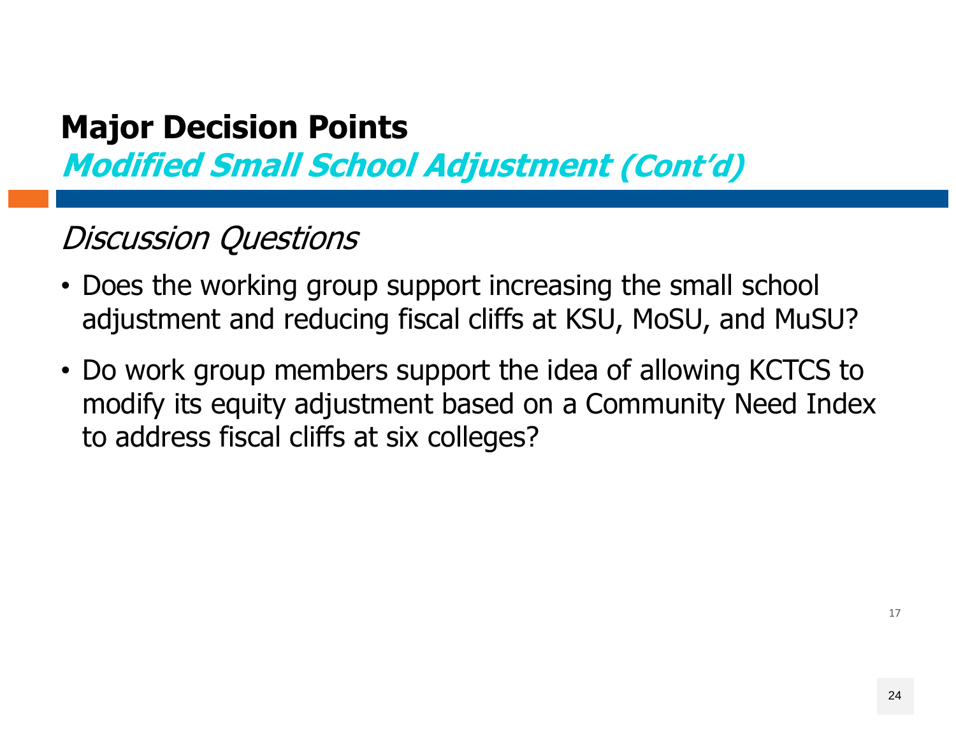**Modified Small School Adjustment (Cont'd)**

### Discussion Questions

- Does the working group support increasing the small school adjustment and reducing fiscal cliffs at KSU, MoSU, and MuSU?
- Do work group members support the idea of allowing KCTCS to modify its equity adjustment based on a Community Need Index to address fiscal cliffs at six colleges?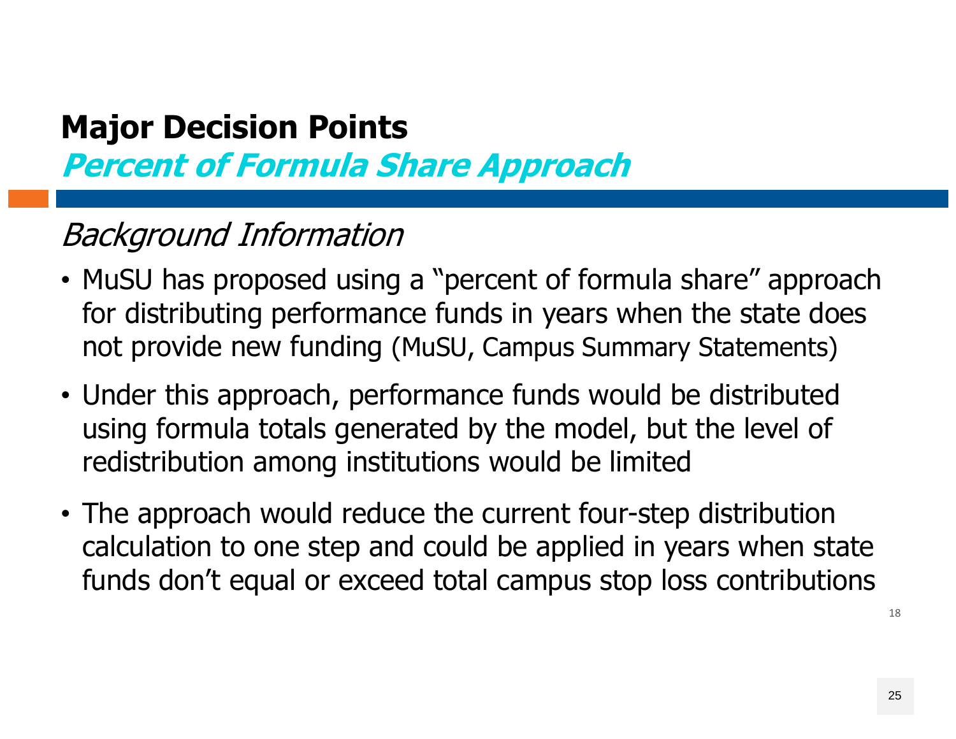**Percent of Formula Share Approach**

#### Background Information

- MuSU has proposed using a "percent of formula share" approach for distributing performance funds in years when the state does not provide new funding (MuSU, Campus Summary Statements)
- Under this approach, performance funds would be distributed using formula totals generated by the model, but the level of redistribution among institutions would be limited
- The approach would reduce the current four-step distribution calculation to one step and could be applied in years when state funds don't equal or exceed total campus stop loss contribution s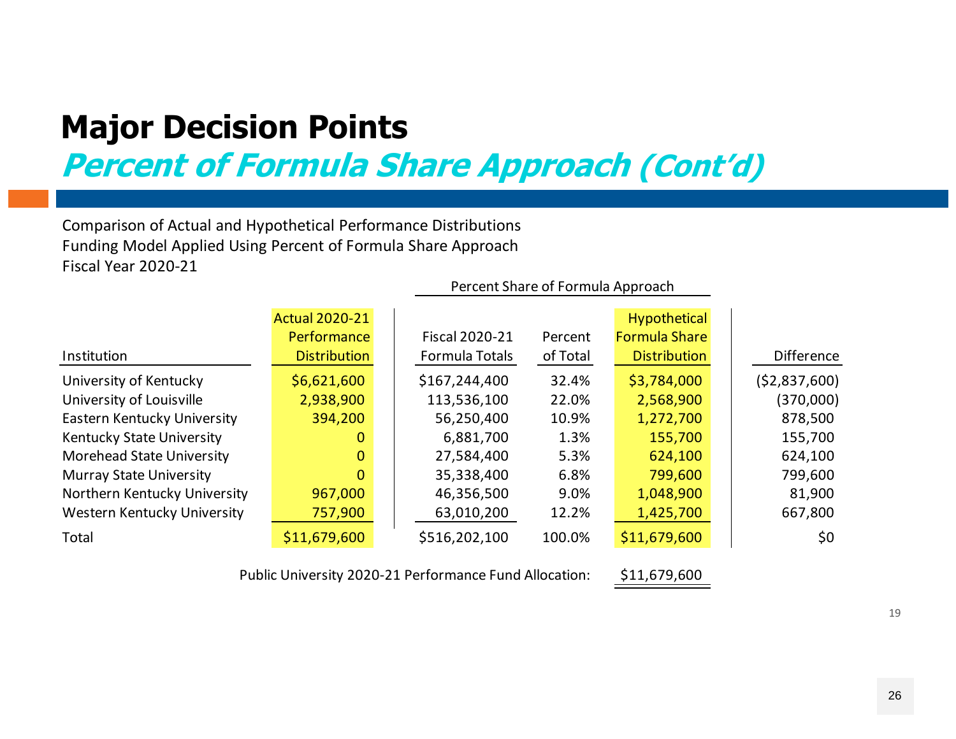**Percent of Formula Share Approach (Cont'd)**

Comparison of Actual and Hypothetical Performance Distributions Funding Model Applied Using Percent of Formula Share Approach Fiscal Year 2020‐21

|                                  | <b>Actual 2020-21</b> |                       |          | <b>Hypothetical</b>  |                   |
|----------------------------------|-----------------------|-----------------------|----------|----------------------|-------------------|
|                                  | <b>Performance</b>    | <b>Fiscal 2020-21</b> | Percent  | <b>Formula Share</b> |                   |
| Institution                      | <b>Distribution</b>   | Formula Totals        | of Total | <b>Distribution</b>  | <b>Difference</b> |
| University of Kentucky           | \$6,621,600           | \$167,244,400         | 32.4%    | \$3,784,000          | ( \$2,837,600)    |
| University of Louisville         | 2,938,900             | 113,536,100           | 22.0%    | 2,568,900            | (370,000)         |
| Eastern Kentucky University      | 394,200               | 56,250,400            | 10.9%    | 1,272,700            | 878,500           |
| Kentucky State University        | 0                     | 6,881,700             | 1.3%     | 155,700              | 155,700           |
| <b>Morehead State University</b> | 0                     | 27,584,400            | 5.3%     | 624,100              | 624,100           |
| <b>Murray State University</b>   | 0                     | 35,338,400            | 6.8%     | 799,600              | 799,600           |
| Northern Kentucky University     | 967,000               | 46,356,500            | 9.0%     | 1,048,900            | 81,900            |
| Western Kentucky University      | 757,900               | 63,010,200            | 12.2%    | 1,425,700            | 667,800           |
| Total                            | \$11,679,600          | \$516,202,100         | 100.0%   | \$11,679,600         | \$0               |

Percent Share of Formula Approach

Public University 2020-21 Performance Fund Allocation: \$11,679,600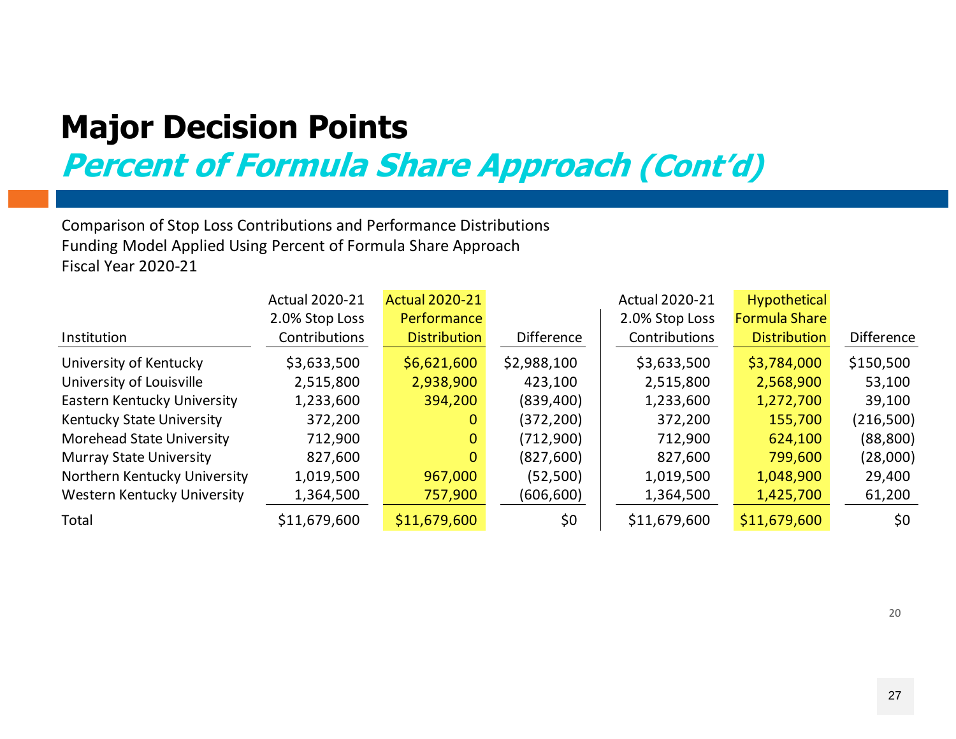**Percent of Formula Share Approach (Cont'd)**

Comparison of Stop Loss Contributions and Performance Distributions Funding Model Applied Using Percent of Formula Share Approach Fiscal Year 2020‐21

|                                  | <b>Actual 2020-21</b> | <b>Actual 2020-21</b> |                   | <b>Actual 2020-21</b> | Hypothetical         |            |
|----------------------------------|-----------------------|-----------------------|-------------------|-----------------------|----------------------|------------|
|                                  | 2.0% Stop Loss        | <b>Performance</b>    |                   | 2.0% Stop Loss        | <b>Formula Share</b> |            |
| Institution                      | Contributions         | <b>Distribution</b>   | <b>Difference</b> | Contributions         | <b>Distribution</b>  | Difference |
| University of Kentucky           | \$3,633,500           | \$6,621,600           | \$2,988,100       | \$3,633,500           | \$3,784,000          | \$150,500  |
| University of Louisville         | 2,515,800             | 2,938,900             | 423,100           | 2,515,800             | 2,568,900            | 53,100     |
| Eastern Kentucky University      | 1,233,600             | 394,200               | (839, 400)        | 1,233,600             | 1,272,700            | 39,100     |
| Kentucky State University        | 372,200               | 0                     | (372, 200)        | 372,200               | 155,700              | (216,500)  |
| <b>Morehead State University</b> | 712,900               | 0                     | (712,900)         | 712,900               | 624,100              | (88, 800)  |
| <b>Murray State University</b>   | 827,600               | 0                     | (827, 600)        | 827,600               | 799,600              | (28,000)   |
| Northern Kentucky University     | 1,019,500             | 967,000               | (52, 500)         | 1,019,500             | 1,048,900            | 29,400     |
| Western Kentucky University      | 1,364,500             | 757,900               | (606,600)         | 1,364,500             | 1,425,700            | 61,200     |
| Total                            | \$11,679,600          | \$11,679,600          | \$0               | \$11,679,600          | \$11,679,600         | \$0        |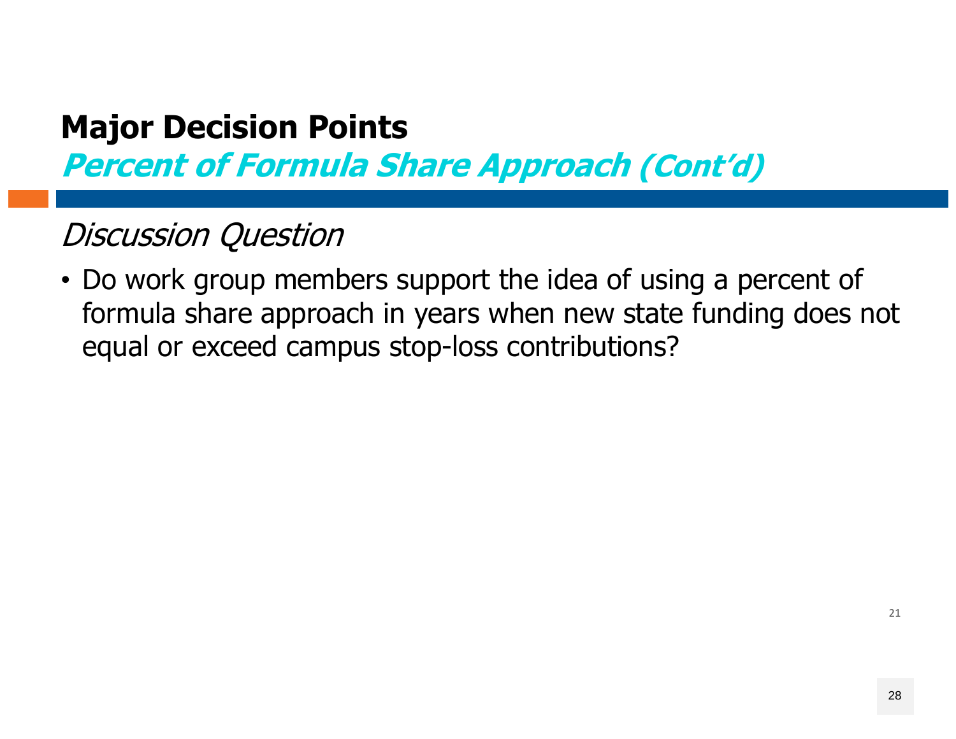**Percent of Formula Share Approach (Cont'd)**

#### Discussion Question

• Do work group members support the idea of using a percent of formula share approach in years when new state funding does not equal or exceed campus stop-loss contributions?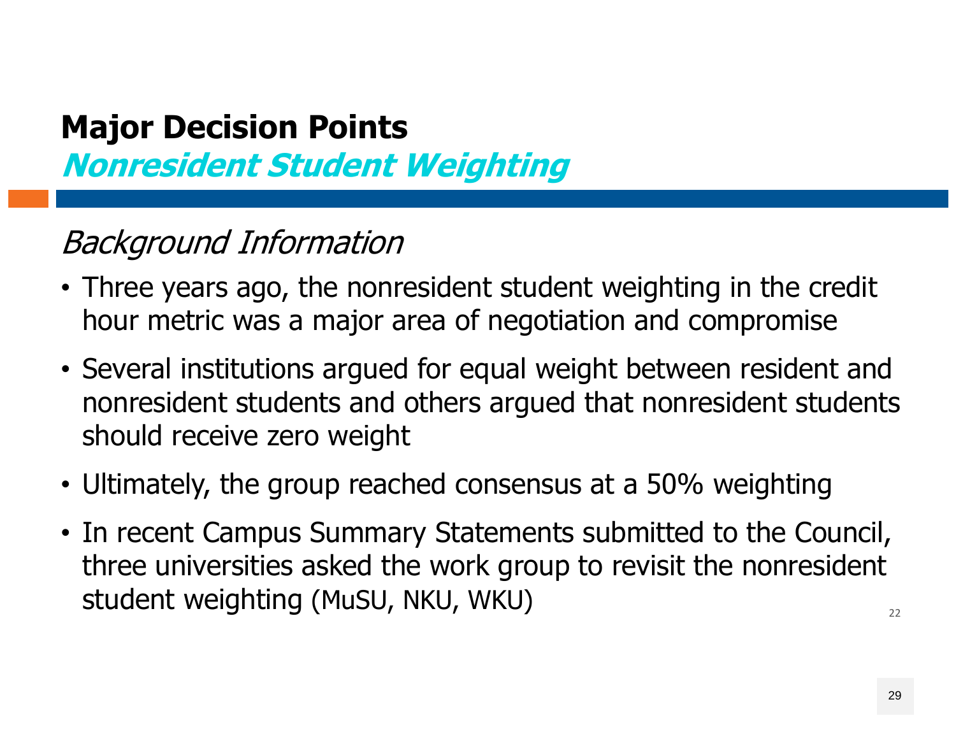**Nonresident Student Weighting**

### Background Information

- Three years ago, the nonresident student weighting in the credit hour metric was a major area of negotiation and compromise
- Several institutions argued for equal weight between resident and nonresident students and others argued that nonresident students should receive zero weight
- Ultimately, the group reached consensus at a 50% weighting
- 22• In recent Campus Summary Statements submitted to the Council, three universities asked the work group to revisit the nonresident student weighting (MuSU, NKU, WKU)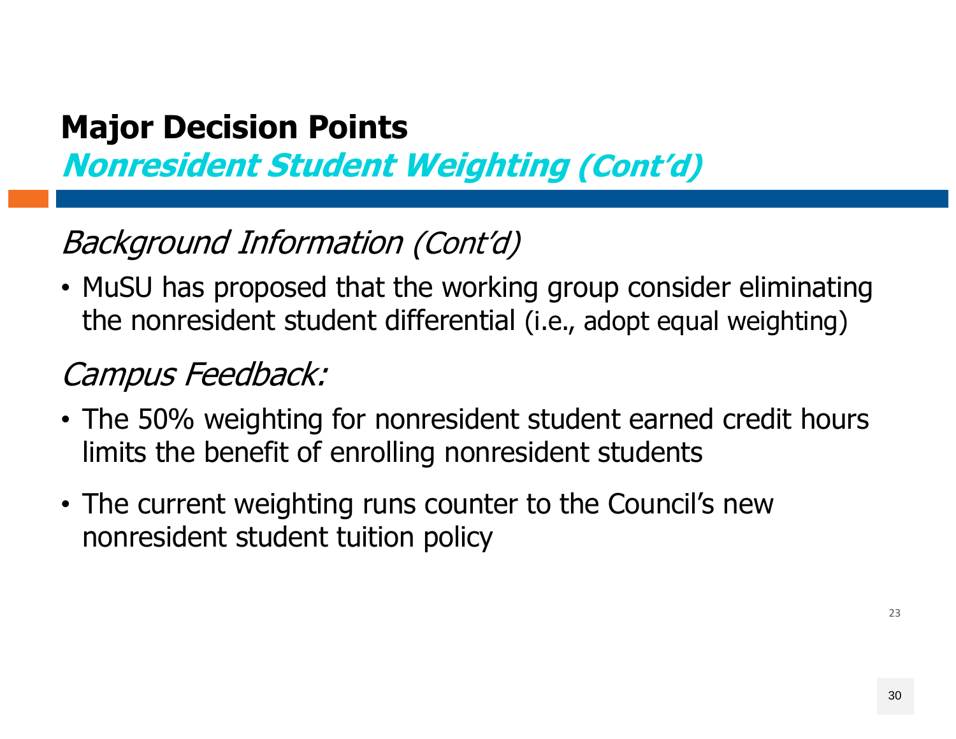**Nonresident Student Weighting (Cont'd)**

## Background Information (Cont'd)

• MuSU has proposed that the working group consider eliminating the nonresident student differential (i.e., adopt equal weighting)

#### Campus Feedback:

- The 50% weighting for nonresident student earned credit hours limits the benefit of enrolling nonresident students
- The current weighting runs counter to the Council's new nonresident student tuition policy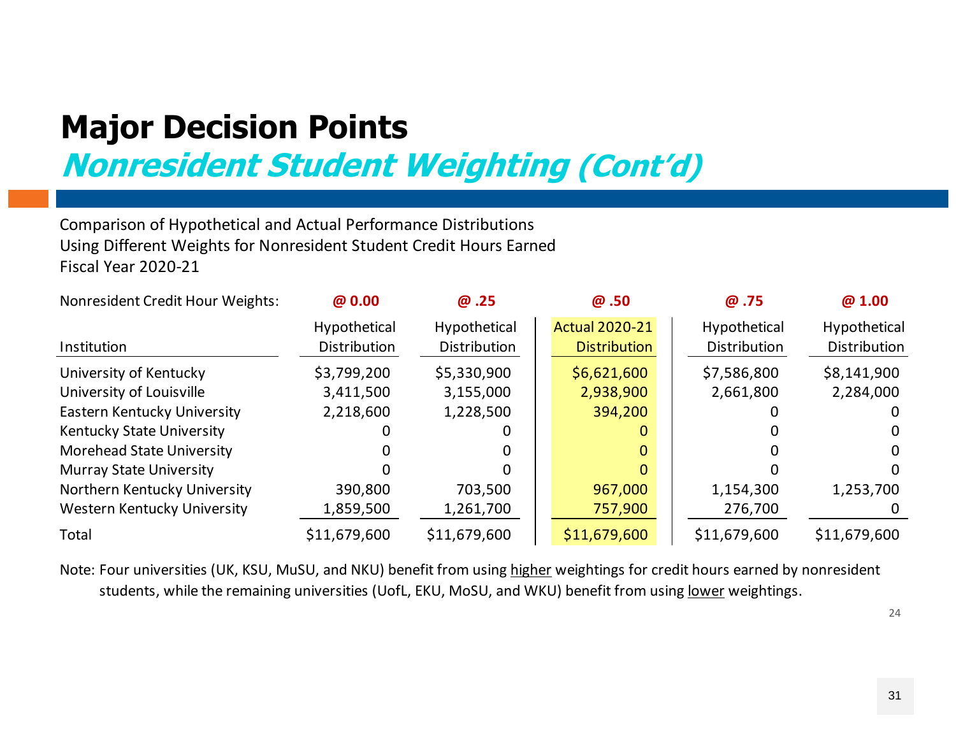**Nonresident Student Weighting (Cont'd)**

Comparison of Hypothetical and Actual Performance Distributions Using Different Weights for Nonresident Student Credit Hours Earned Fiscal Year 2020‐21

| Nonresident Credit Hour Weights: | @ 0.00                       | $\omega$ .25                 | @.50                                         | @.75                         | @1.00                        |
|----------------------------------|------------------------------|------------------------------|----------------------------------------------|------------------------------|------------------------------|
| Institution                      | Hypothetical<br>Distribution | Hypothetical<br>Distribution | <b>Actual 2020-21</b><br><b>Distribution</b> | Hypothetical<br>Distribution | Hypothetical<br>Distribution |
| University of Kentucky           | \$3,799,200                  | \$5,330,900                  | \$6,621,600                                  | \$7,586,800                  | \$8,141,900                  |
| University of Louisville         | 3,411,500                    | 3,155,000                    | 2,938,900                                    | 2,661,800                    | 2,284,000                    |
| Eastern Kentucky University      | 2,218,600                    | 1,228,500                    | 394,200                                      |                              |                              |
| Kentucky State University        |                              |                              | 0                                            |                              | $\mathbf{I}$                 |
| <b>Morehead State University</b> |                              | 0                            | 0                                            |                              | 0                            |
| <b>Murray State University</b>   |                              |                              | 0                                            |                              | $\Omega$                     |
| Northern Kentucky University     | 390,800                      | 703,500                      | 967,000                                      | 1,154,300                    | 1,253,700                    |
| Western Kentucky University      | 1,859,500                    | 1,261,700                    | 757,900                                      | 276,700                      |                              |
| Total                            | \$11,679,600                 | \$11,679,600                 | \$11,679,600                                 | \$11,679,600                 | \$11,679,600                 |

Note: Four universities (UK, KSU, MuSU, and NKU) benefit from using higher weightings for credit hours earned by nonresident students, while the remaining universities (UofL, EKU, MoSU, and WKU) benefit from using lower weightings.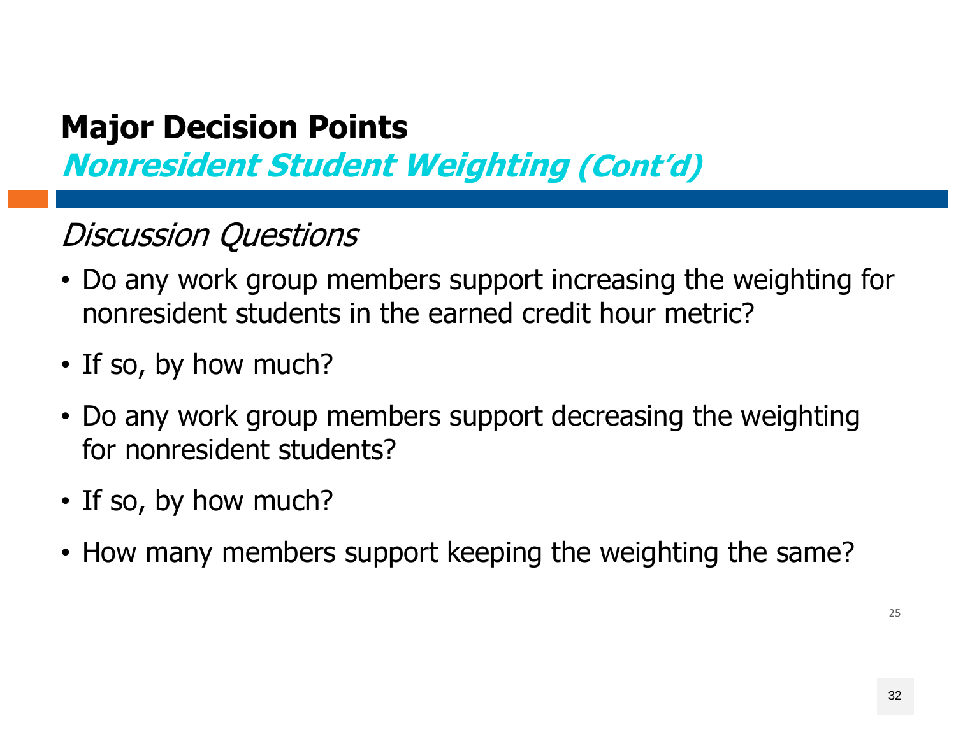**Nonresident Student Weighting (Cont'd)**

#### Discussion Questions

- Do any work group members support increasing the weighting for nonresident students in the earned credit hour metric?
- If so, by how much?
- Do any work group members support decreasing the weighting for nonresident students?
- If so, by how much?
- How many members support keeping the weighting the same?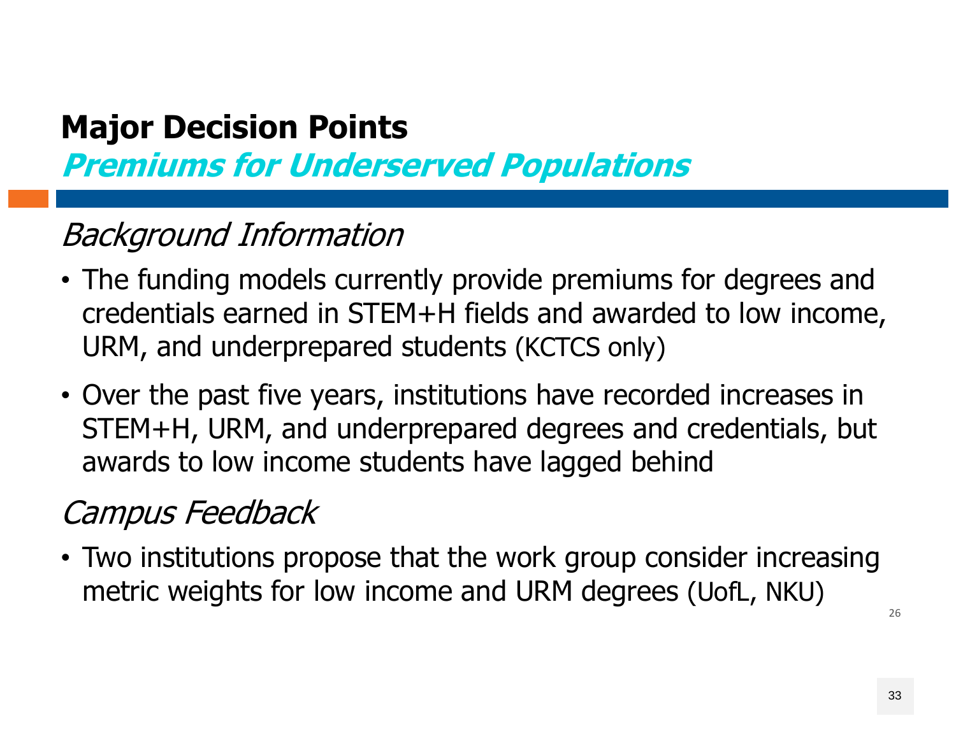**Premiums for Underserved Populations**

### Background Information

- The funding models currently provide premiums for degrees and credentials earned in STEM+H fields and awarded to low income, URM, and underprepared students (KCTCS only)
- Over the past five years, institutions have recorded increases in STEM+H, URM, and underprepared degrees and credentials, but awards to low income students have lagged behind

### Campus Feedback

• Two institutions propose that the work group consider increasing metric weights for low income and URM degrees (UofL, NKU)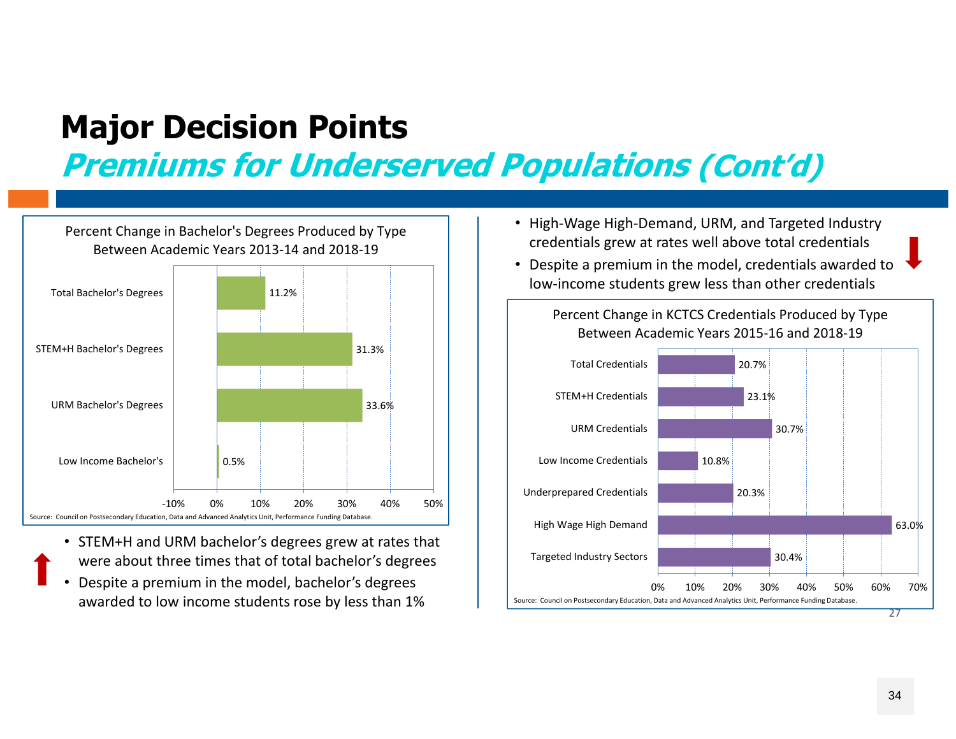**Premiums for Underserved Populations (Cont'd)**

0.5%33.6%31.3%11.2%‐10% 0% 10% 20% 30% 40% 50% Low Income Bachelor'sURM Bachelor's Degrees STEM+H Bachelor's Degrees Total Bachelor's Degrees Percent Change in Bachelor's Degrees Produced by Type Between Academic Years 2013‐14 and 2018‐19Source: Council on Postsecondary Education, Data and Advanced Analytics Unit, Performance Funding Database.

- STEM+H and URM bachelor's degrees grew at rates that were about three times that of total bachelor's degrees
- • Despite a premium in the model, bachelor's degrees awarded to low income students rose by less than 1%
- High‐Wage High‐Demand, URM, and Targeted Industry credentials grew at rates well above total credentials
- Despite a premium in the model, credentials awarded to low‐income students grew less than other credentials

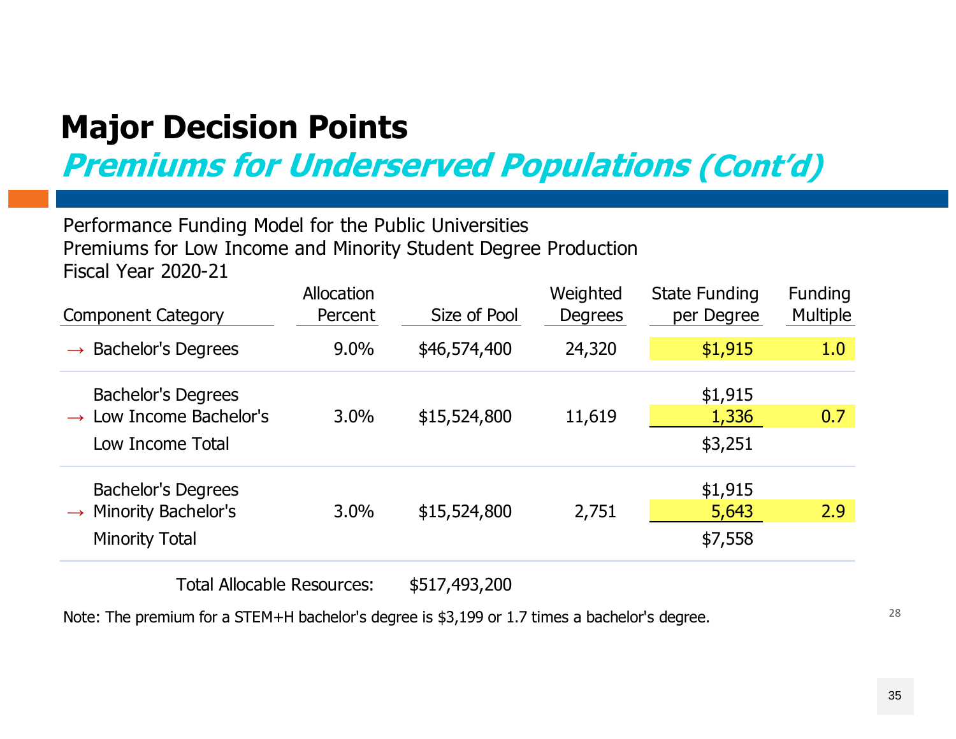**Premiums for Underserved Populations (Cont'd)**

#### Performance Fundin g Model for the Public Universities Premiums for Low Income and Minority Student De gree Production Fiscal Year 2020-21

| <b>Component Category</b>                                                               | <b>Allocation</b><br>Percent | Size of Pool | Weighted<br><b>Degrees</b> | <b>State Funding</b><br>per Degree | <b>Funding</b><br><b>Multiple</b> |
|-----------------------------------------------------------------------------------------|------------------------------|--------------|----------------------------|------------------------------------|-----------------------------------|
| <b>Bachelor's Degrees</b><br>$\rightarrow$                                              | $9.0\%$                      | \$46,574,400 | 24,320                     | \$1,915                            | 1.0                               |
| <b>Bachelor's Degrees</b><br>$\rightarrow$ Low Income Bachelor's<br>Low Income Total    | 3.0%                         | \$15,524,800 | 11,619                     | \$1,915<br>1,336<br>\$3,251        | 0.7                               |
| <b>Bachelor's Degrees</b><br>$\rightarrow$ Minority Bachelor's<br><b>Minority Total</b> | 3.0%                         | \$15,524,800 | 2,751                      | \$1,915<br>5,643<br>\$7,558        | 2.9                               |

Total Allocable Resources: \$517,493,200

Note: The premium for a STEM+H bachelor's degree is \$3,199 or 1.7 times a bachelor's degree.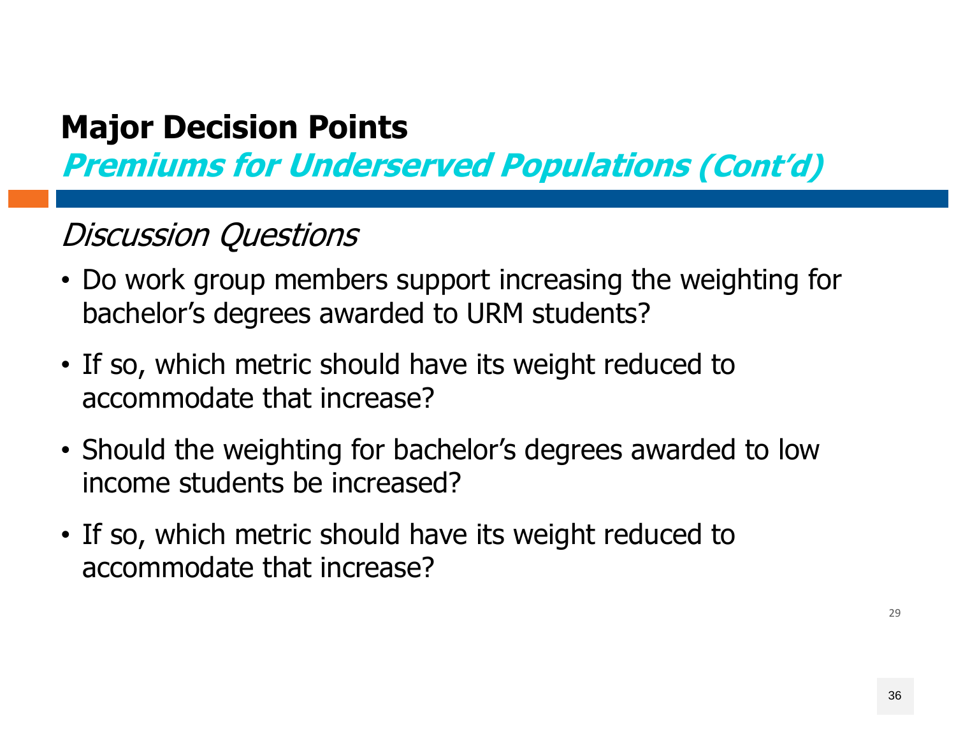**Premiums for Underserved Populations (Cont'd)**

#### Discussion Questions

- Do work group members support increasing the weighting for bachelor's degrees awarded to URM students?
- If so, which metric should have its weight reduced to accommodate that increase?
- Should the weighting for bachelor's degrees awarded to low income students be increased?
- If so, which metric should have its weight reduced to accommodate that increase?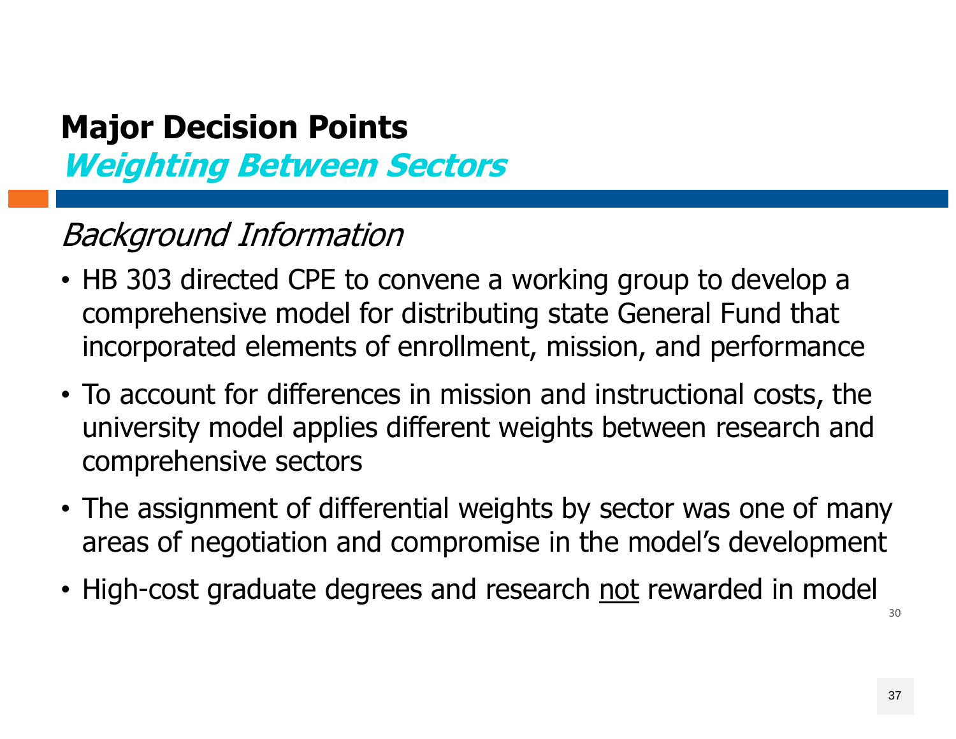### **Major Decision Points Weighting Between Sectors**

#### Background Information

- HB 303 directed CPE to convene a working group to develop a comprehensive model for distributing state General Fund that incorporated elements of enrollment, mission, and performance
- To account for differences in mission and instructional costs, the university model applies different weights between research and comprehensive sectors
- The assignment of differential weights by sector was one of many areas of negotiation and compromise in the model's development
- High-cost graduate degrees and research not rewarded in model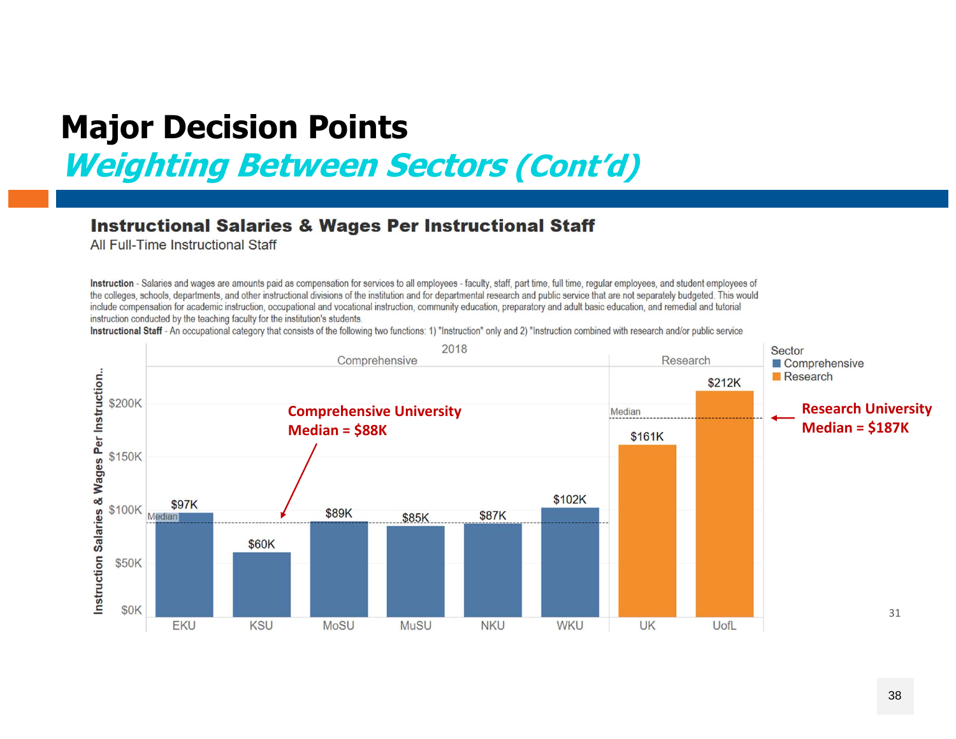**Weighting Between Sectors (Cont'd)**

#### **Instructional Salaries & Wages Per Instructional Staff**

All Full-Time Instructional Staff

Instruction - Salaries and wages are amounts paid as compensation for services to all employees - faculty, staff, part time, full time, regular employees, and student employees of the colleges, schools, departments, and other instructional divisions of the institution and for departmental research and public service that are not separately budgeted. This would include compensation for academic instruction, occupational and vocational instruction, community education, preparatory and adult basic education, and remedial and tutorial instruction conducted by the teaching faculty for the institution's students.

Instructional Staff - An occupational category that consists of the following two functions: 1) "Instruction" only and 2) "Instruction combined with research and/or public service

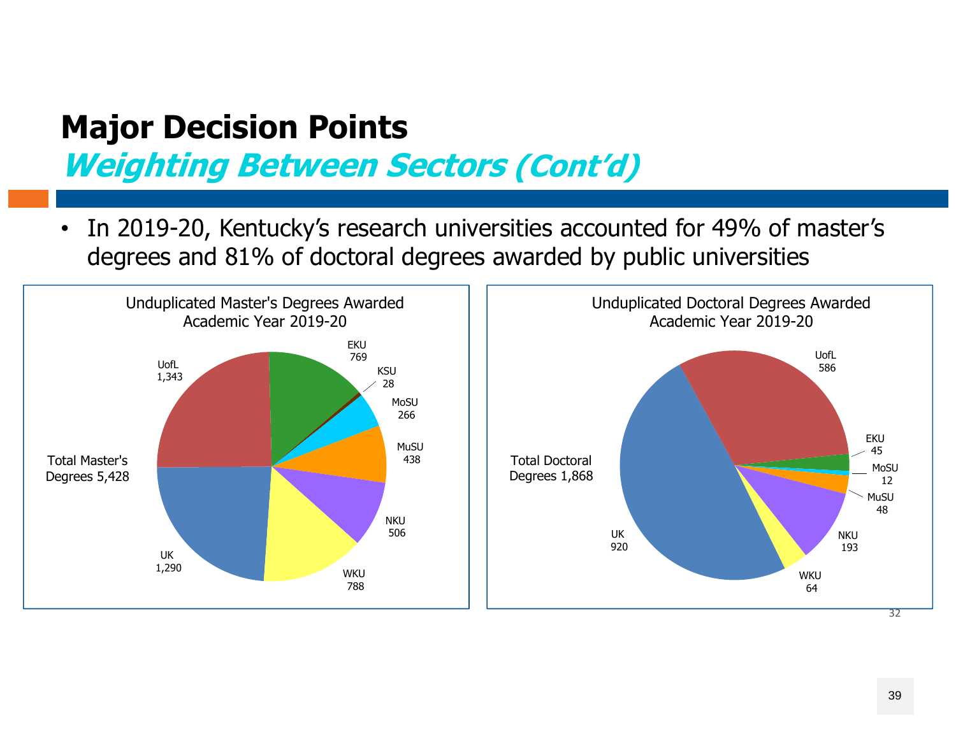**Weighting Between Sectors (Cont'd)**

• In 2019-20, Kentucky's research universities accounted for 49% of master's degrees and 81% of doctoral degrees awarded by public universities

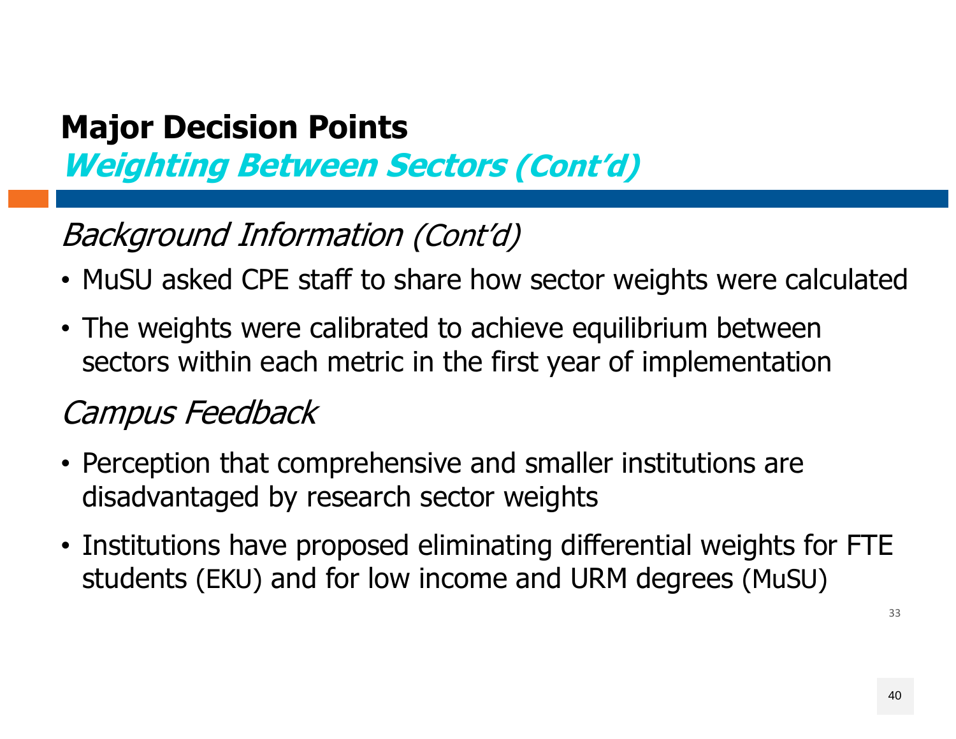#### **Major Decision Points Weighting Between Sectors (Cont'd)**

# Background Information (Cont'd)

- MuSU asked CPE staff to share how sector weights were calculate d
- The weights were calibrated to achieve equilibrium between sectors within each metric in the first year of implementation

#### Campus Feedback

- Perception that comprehensive and smaller institutions are disadvantaged by research sector weights
- Institutions have proposed eliminating differential weights for FTE students (EKU) and for low income and URM degrees (MuSU)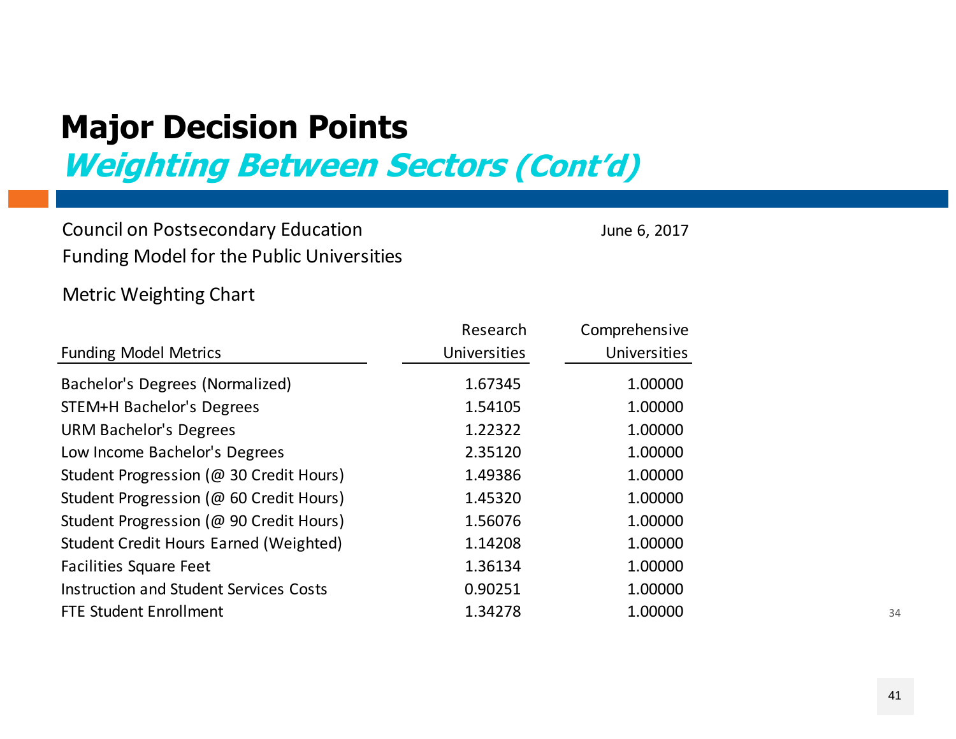**Weighting Between Sectors (Cont'd)**

Council on Postsecondary Education **Council on Postsecondary Education** June 6, 2017 Funding Model for the Public Universities

Metric Weighting Chart

|                                               | Research     | Comprehensive       |
|-----------------------------------------------|--------------|---------------------|
| <b>Funding Model Metrics</b>                  | Universities | <b>Universities</b> |
| Bachelor's Degrees (Normalized)               | 1.67345      | 1.00000             |
| <b>STEM+H Bachelor's Degrees</b>              | 1.54105      | 1.00000             |
| <b>URM Bachelor's Degrees</b>                 | 1.22322      | 1.00000             |
| Low Income Bachelor's Degrees                 | 2.35120      | 1.00000             |
| Student Progression (@ 30 Credit Hours)       | 1.49386      | 1.00000             |
| Student Progression (@ 60 Credit Hours)       | 1.45320      | 1.00000             |
| Student Progression (@ 90 Credit Hours)       | 1.56076      | 1.00000             |
| Student Credit Hours Earned (Weighted)        | 1.14208      | 1.00000             |
| <b>Facilities Square Feet</b>                 | 1.36134      | 1.00000             |
| <b>Instruction and Student Services Costs</b> | 0.90251      | 1.00000             |
| <b>FTE Student Enrollment</b>                 | 1.34278      | 1.00000             |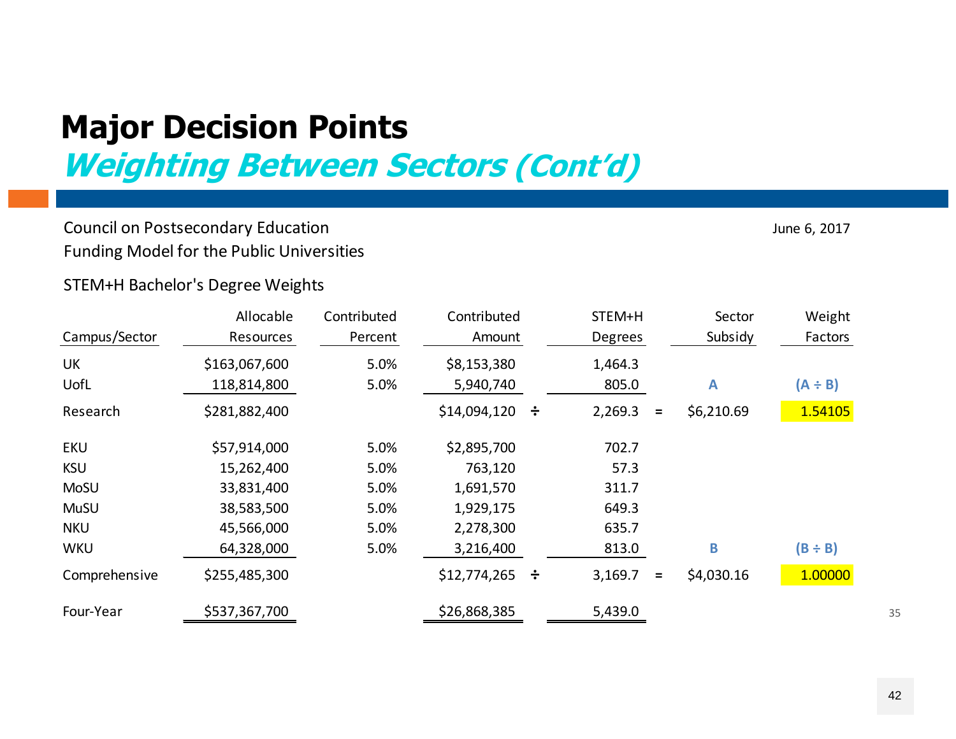**Weighting Between Sectors (Cont'd)**

#### Council on Postsecondary Education and Council on Postsecondary Education Accouncil on Postsecondary Education Funding Model for the Public Universities

STEM+H Bachelor's Degree Weights

|               | Allocable        | Contributed | Contributed  |   | STEM+H         |          | Sector       | Weight       |
|---------------|------------------|-------------|--------------|---|----------------|----------|--------------|--------------|
| Campus/Sector | <b>Resources</b> | Percent     | Amount       |   | <b>Degrees</b> |          | Subsidy      | Factors      |
| UK            | \$163,067,600    | 5.0%        | \$8,153,380  |   | 1,464.3        |          |              |              |
| UofL          | 118,814,800      | 5.0%        | 5,940,740    |   | 805.0          |          | $\mathbf{A}$ | $(A \div B)$ |
| Research      | \$281,882,400    |             | \$14,094,120 | ÷ | 2,269.3        | $=$      | \$6,210.69   | 1.54105      |
| <b>EKU</b>    | \$57,914,000     | 5.0%        | \$2,895,700  |   | 702.7          |          |              |              |
| <b>KSU</b>    | 15,262,400       | 5.0%        | 763,120      |   | 57.3           |          |              |              |
| <b>MoSU</b>   | 33,831,400       | 5.0%        | 1,691,570    |   | 311.7          |          |              |              |
| <b>MuSU</b>   | 38,583,500       | 5.0%        | 1,929,175    |   | 649.3          |          |              |              |
| <b>NKU</b>    | 45,566,000       | 5.0%        | 2,278,300    |   | 635.7          |          |              |              |
| <b>WKU</b>    | 64,328,000       | 5.0%        | 3,216,400    |   | 813.0          |          | B            | $(B \div B)$ |
| Comprehensive | \$255,485,300    |             | \$12,774,265 | ÷ | 3,169.7        | $\equiv$ | \$4,030.16   | 1.00000      |
| Four-Year     | \$537,367,700    |             | \$26,868,385 |   | 5,439.0        |          |              |              |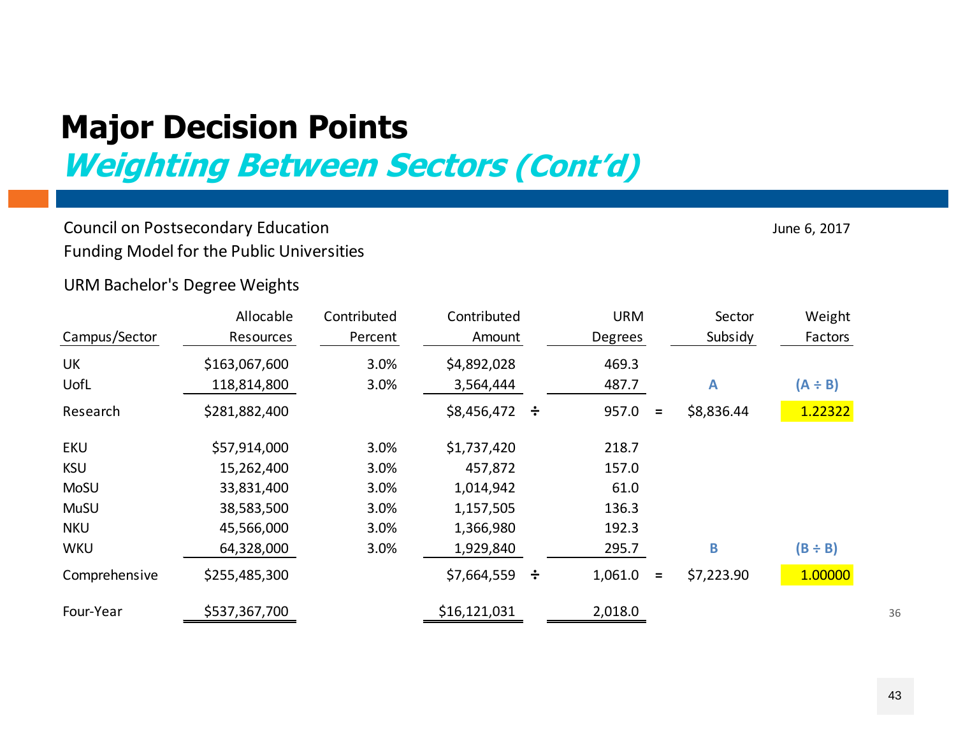**Weighting Between Sectors (Cont'd)**

#### Council on Postsecondary Education and Council on Postsecondary Education Accouncil on Postsecondary Education Funding Model for the Public Universities

URM Bachelor's Degree Weights

|               | Allocable        | Contributed | Contributed       |        | <b>URM</b>     |          | Sector     | Weight       |
|---------------|------------------|-------------|-------------------|--------|----------------|----------|------------|--------------|
| Campus/Sector | <b>Resources</b> | Percent     | Amount            |        | <b>Degrees</b> |          | Subsidy    | Factors      |
| UK            | \$163,067,600    | 3.0%        | \$4,892,028       |        | 469.3          |          |            |              |
| UofL          | 118,814,800      | 3.0%        | 3,564,444         |        | 487.7          |          | A          | $(A \div B)$ |
| Research      | \$281,882,400    |             | $$8,456,472 \div$ |        | 957.0          | $\equiv$ | \$8,836.44 | 1.22322      |
| <b>EKU</b>    | \$57,914,000     | 3.0%        | \$1,737,420       |        | 218.7          |          |            |              |
| <b>KSU</b>    | 15,262,400       | 3.0%        | 457,872           |        | 157.0          |          |            |              |
| <b>MoSU</b>   | 33,831,400       | 3.0%        | 1,014,942         |        | 61.0           |          |            |              |
| <b>MuSU</b>   | 38,583,500       | 3.0%        | 1,157,505         |        | 136.3          |          |            |              |
| <b>NKU</b>    | 45,566,000       | 3.0%        | 1,366,980         |        | 192.3          |          |            |              |
| <b>WKU</b>    | 64,328,000       | 3.0%        | 1,929,840         |        | 295.7          |          | B          | $(B \div B)$ |
| Comprehensive | \$255,485,300    |             | \$7,664,559       | $\div$ | 1,061.0        | $=$      | \$7,223.90 | 1.00000      |
| Four-Year     | \$537,367,700    |             | \$16,121,031      |        | 2,018.0        |          |            |              |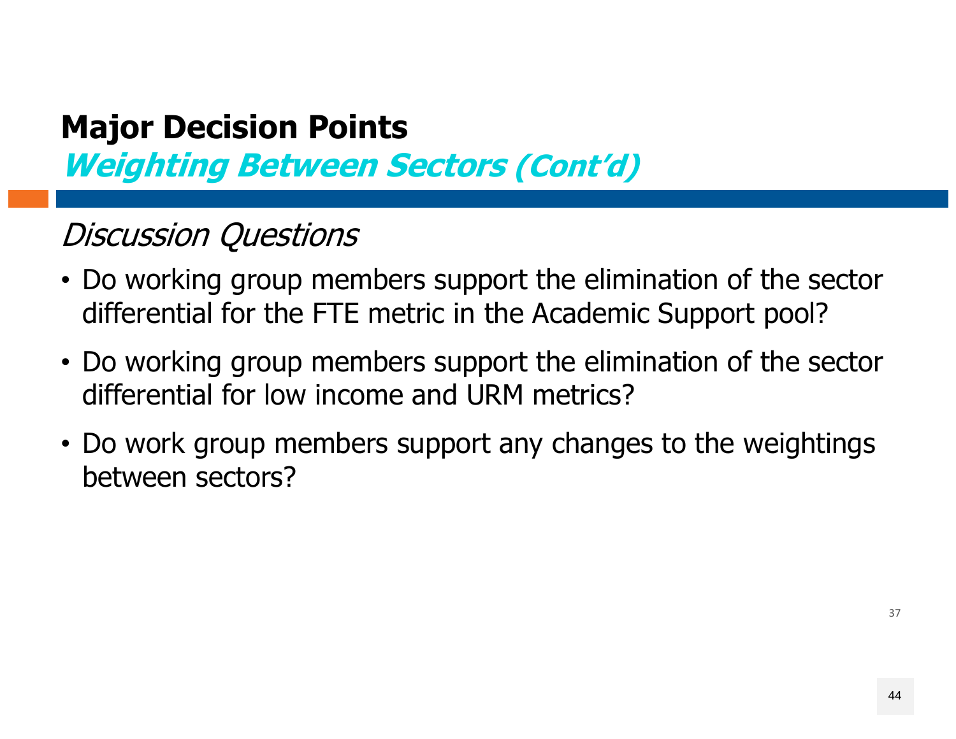**Weighting Between Sectors (Cont'd)**

#### Discussion Questions

- Do working group members support the elimination of the sector differential for the FTE metric in the Academic Support pool?
- Do working group members support the elimination of the sector differential for low income and URM metrics?
- Do work group members support any changes to the weightings between sectors?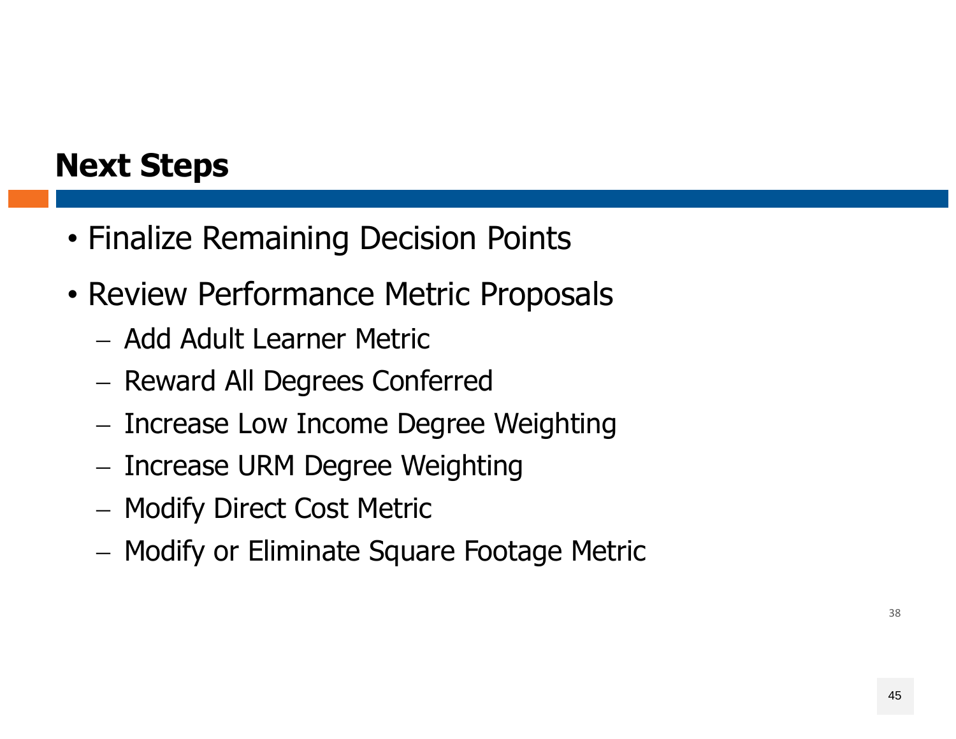#### **Next Steps**

- Finalize Remaining Decision Points
- Review Performance Metric Proposals
	- Add Adult Learner Metric
	- Reward All Degrees Conferred
	- Increase Low Income Degree Weighting
	- Increase URM Degree Weighting
	- Modify Direct Cost Metric
	- Modify or Eliminate Square Footage Metric